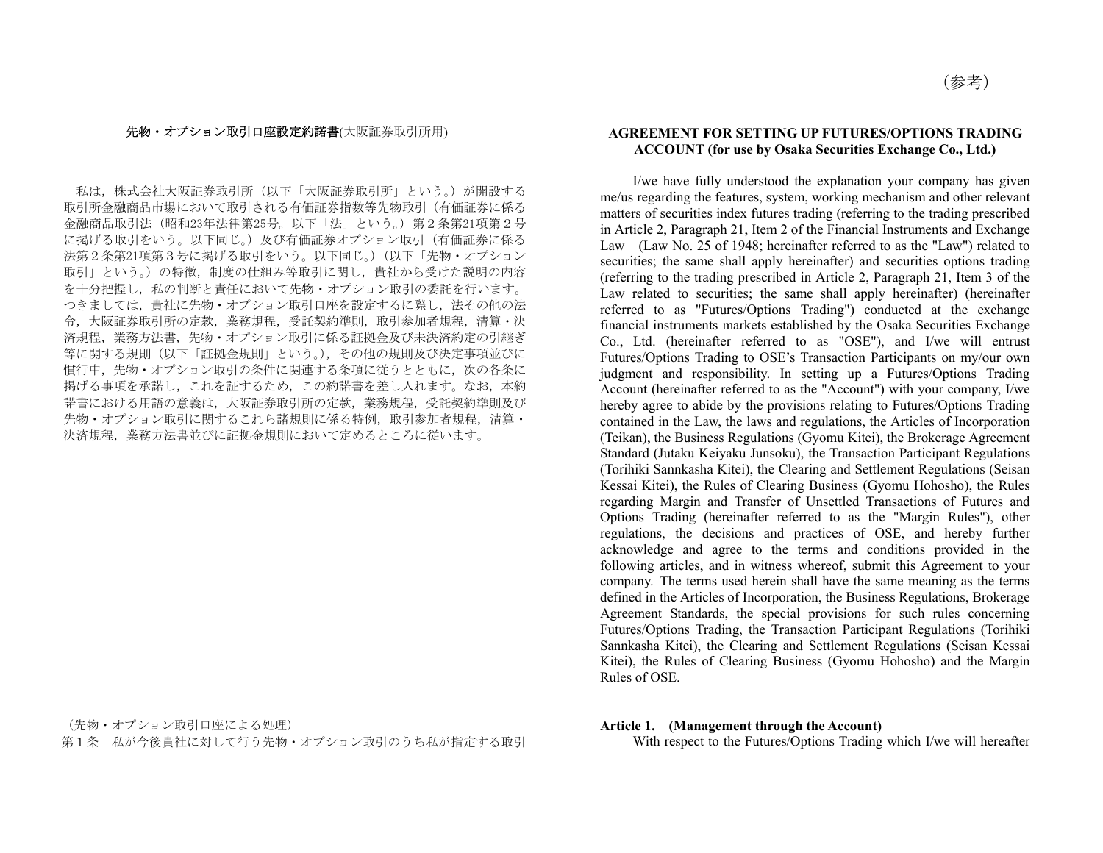#### 先物・オプション取引口座設定約諾書(大阪証券取引所用)

私は,株式会社大阪証券取引所(以下「大阪証券取引所」という。)が開設する 取引所金融商品市場において取引される有価証券指数等先物取引(有価証券に係る 金融商品取引法(昭和23年法律第25号。以下「法」という。)第2条第21項第2号 に掲げる取引をいう。以下同じ。)及び有価証券オプション取引(有価証券に係る 法第2条第21項第3号に掲げる取引をいう。以下同じ。)(以下「先物・オプション 取引」という。)の特徴,制度の仕組み等取引に関し,貴社から受けた説明の内容 を十分把握し,私の判断と責任において先物・オプション取引の委託を行います。 つきましては,貴社に先物・オプション取引口座を設定するに際し,法その他の法 令,大阪証券取引所の定款,業務規程,受託契約準則,取引参加者規程,清算・決 済規程,業務方法書,先物・オプション取引に係る証拠金及び未決済約定の引継ぎ 等に関する規則(以下「証拠金規則」という。),その他の規則及び決定事項並びに 慣行中,先物・オプション取引の条件に関連する条項に従うとともに,次の各条に 掲げる事項を承諾し,これを証するため,この約諾書を差し入れます。なお,本約 諾書における用語の意義は,大阪証券取引所の定款,業務規程,受託契約準則及び 先物・オプション取引に関するこれら諸規則に係る特例,取引参加者規程,清算・ 決済規程,業務方法書並びに証拠金規則において定めるところに従います。

(先物・オプション取引口座による処理)

第1条 私が今後貴社に対して行う先物・オプション取引のうち私が指定する取引

### **AGREEMENT FOR SETTING UP FUTURES/OPTIONS TRADING ACCOUNT (for use by Osaka Securities Exchange Co., Ltd.)**

 I/we have fully understood the explanation your company has given me/us regarding the features, system, working mechanism and other relevant matters of securities index futures trading (referring to the trading prescribed in Article 2, Paragraph 21, Item 2 of the Financial Instruments and Exchange Law (Law No. 25 of 1948; hereinafter referred to as the "Law") related to securities; the same shall apply hereinafter) and securities options trading (referring to the trading prescribed in Article 2, Paragraph 21, Item 3 of the Law related to securities; the same shall apply hereinafter) (hereinafter referred to as "Futures/Options Trading") conducted at the exchange financial instruments markets established by the Osaka Securities Exchange Co., Ltd. (hereinafter referred to as "OSE"), and I/we will entrust Futures/Options Trading to OSE's Transaction Participants on my/our own judgment and responsibility. In setting up a Futures/Options Trading Account (hereinafter referred to as the "Account") with your company, I/we hereby agree to abide by the provisions relating to Futures/Options Trading contained in the Law, the laws and regulations, the Articles of Incorporation (Teikan), the Business Regulations (Gyomu Kitei), the Brokerage Agreement Standard (Jutaku Keiyaku Junsoku), the Transaction Participant Regulations (Torihiki Sannkasha Kitei), the Clearing and Settlement Regulations (Seisan Kessai Kitei), the Rules of Clearing Business (Gyomu Hohosho), the Rules regarding Margin and Transfer of Unsettled Transactions of Futures and Options Trading (hereinafter referred to as the "Margin Rules"), other regulations, the decisions and practices of OSE, and hereby further acknowledge and agree to the terms and conditions provided in the following articles, and in witness whereof, submit this Agreement to your company. The terms used herein shall have the same meaning as the terms defined in the Articles of Incorporation, the Business Regulations, Brokerage Agreement Standards, the special provisions for such rules concerning Futures/Options Trading, the Transaction Participant Regulations (Torihiki Sannkasha Kitei), the Clearing and Settlement Regulations (Seisan Kessai Kitei), the Rules of Clearing Business (Gyomu Hohosho) and the Margin Rules of OSE.

#### **Article 1. (Management through the Account)**

With respect to the Futures/Options Trading which I/we will hereafter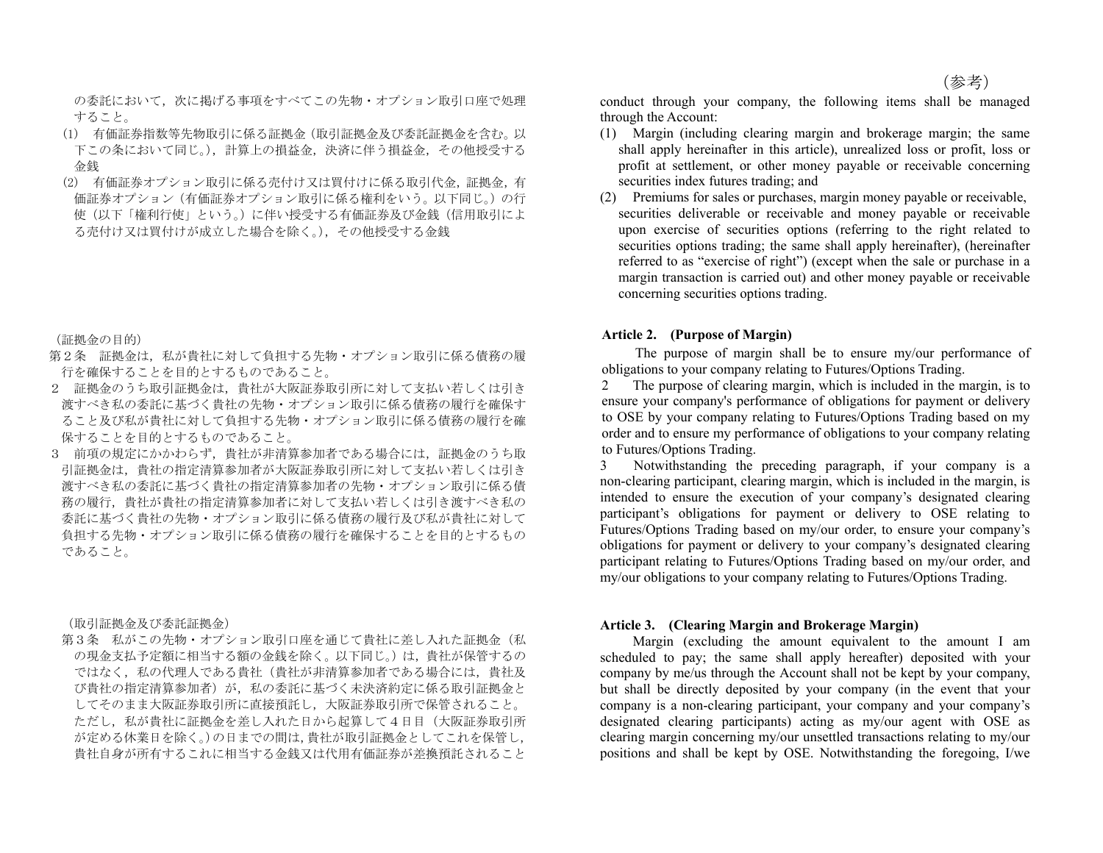の委託において、次に掲げる事項をすべてこの先物·オプション取引口座で処理 すること。

- (1) 有価証券指数等先物取引に係る証拠金(取引証拠金及び委託証拠金を含む。以 下この条において同じ。),計算上の損益金,決済に伴う損益金,その他授受する 金銭
- (2) 有価証券オプション取引に係る売付け又は買付けに係る取引代金,証拠金,有 価証券オプション(有価証券オプション取引に係る権利をいう。以下同じ。)の行 使(以下「権利行使」という。)に伴い授受する有価証券及び金銭(信用取引によ る売付け又は買付けが成立した場合を除く。),その他授受する金銭

(証拠金の目的)

- 第2条 証拠金は、私が貴社に対して負担する先物·オプション取引に係る債務の履 行を確保することを目的とするものであること。
- 2 証拠金のうち取引証拠金は,貴社が大阪証券取引所に対して支払い若しくは引き 渡すべき私の委託に基づく貴社の先物・オプション取引に係る債務の履行を確保す ること及び私が貴社に対して負担する先物・オプション取引に係る債務の履行を確 保することを目的とするものであること。
- 3 前項の規定にかかわらず、貴社が非清算参加者である場合には、証拠金のうち取 引証拠金は,貴社の指定清算参加者が大阪証券取引所に対して支払い若しくは引き 渡すべき私の委託に基づく貴社の指定清算参加者の先物・オプション取引に係る債 務の履行,貴社が貴社の指定清算参加者に対して支払い若しくは引き渡すべき私の 委託に基づく貴社の先物・オプション取引に係る債務の履行及び私が貴社に対して 負担する先物・オプション取引に係る債務の履行を確保することを目的とするもの であること。

(取引証拠金及び委託証拠金)

第3条 私がこの先物・オプション取引口座を通じて貴社に差し入れた証拠金(私 の現金支払予定額に相当する額の金銭を除く。以下同じ。)は,貴社が保管するの ではなく,私の代理人である貴社(貴社が非清算参加者である場合には,貴社及 び貴社の指定清算参加者)が,私の委託に基づく未決済約定に係る取引証拠金と してそのまま大阪証券取引所に直接預託し,大阪証券取引所で保管されること。 ただし,私が貴社に証拠金を差し入れた日から起算して4日目(大阪証券取引所 が定める休業日を除く。)の日までの間は,貴社が取引証拠金としてこれを保管し, 貴社自身が所有するこれに相当する金銭又は代用有価証券が差換預託されること

conduct through your company, the following items shall be managed through the Account:

- (1) Margin (including clearing margin and brokerage margin; the same shall apply hereinafter in this article), unrealized loss or profit, loss or profit at settlement, or other money payable or receivable concerning securities index futures trading; and
- (2) Premiums for sales or purchases, margin money payable or receivable, securities deliverable or receivable and money payable or receivable upon exercise of securities options (referring to the right related to securities options trading; the same shall apply hereinafter), (hereinafter referred to as "exercise of right") (except when the sale or purchase in a margin transaction is carried out) and other money payable or receivable concerning securities options trading.

#### **Article 2. (Purpose of Margin)**

The purpose of margin shall be to ensure my/our performance of obligations to your company relating to Futures/Options Trading.

2 The purpose of clearing margin, which is included in the margin, is to ensure your company's performance of obligations for payment or delivery to OSE by your company relating to Futures/Options Trading based on my order and to ensure my performance of obligations to your company relating to Futures/Options Trading.

3 Notwithstanding the preceding paragraph, if your company is a non-clearing participant, clearing margin, which is included in the margin, is intended to ensure the execution of your company's designated clearing participant's obligations for payment or delivery to OSE relating to Futures/Options Trading based on my/our order, to ensure your company's obligations for payment or delivery to your company's designated clearing participant relating to Futures/Options Trading based on my/our order, and my/our obligations to your company relating to Futures/Options Trading.

## **Article 3. (Clearing Margin and Brokerage Margin)**

 Margin (excluding the amount equivalent to the amount I am scheduled to pay; the same shall apply hereafter) deposited with your company by me/us through the Account shall not be kept by your company, but shall be directly deposited by your company (in the event that your company is a non-clearing participant, your company and your company's designated clearing participants) acting as my/our agent with OSE as clearing margin concerning my/our unsettled transactions relating to my/our positions and shall be kept by OSE. Notwithstanding the foregoing, I/we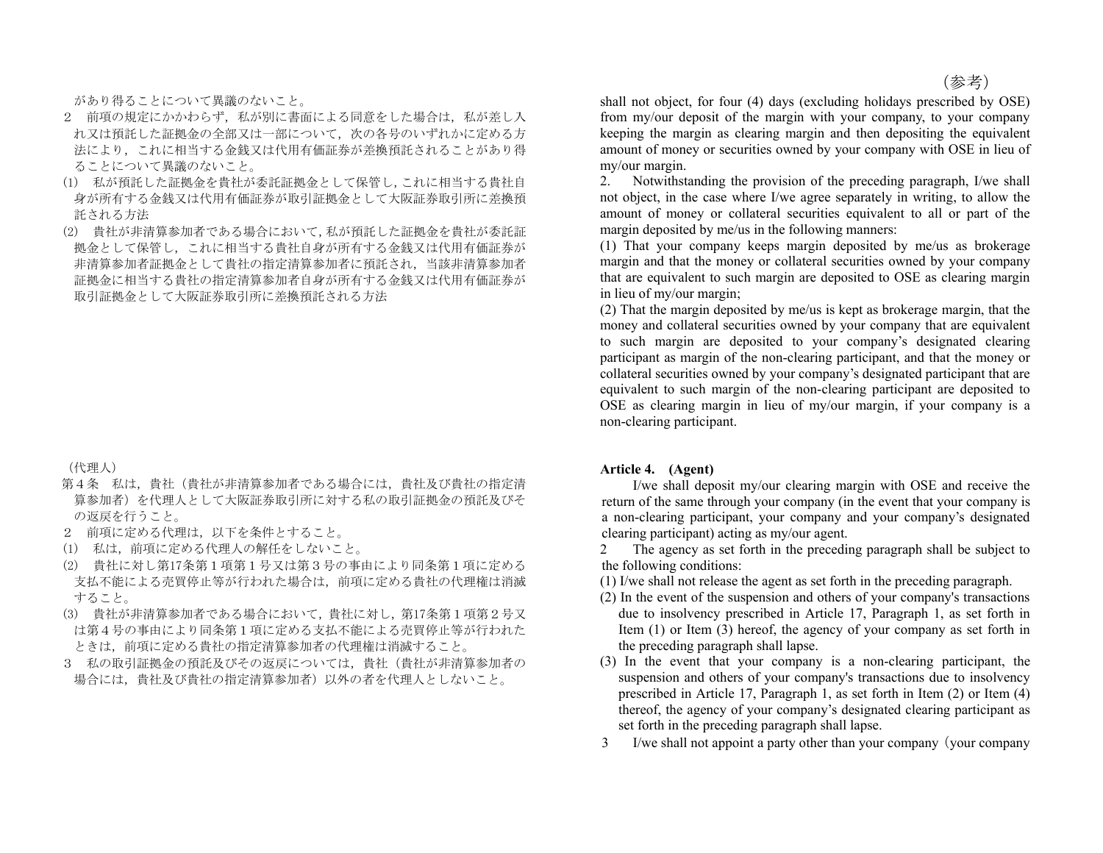があり得ることについて異議のないこと。

- 2 前項の規定にかかわらず、私が別に書面による同意をした場合は、私が差し入 れ又は預託した証拠金の全部又は一部について,次の各号のいずれかに定める方 法により,これに相当する金銭又は代用有価証券が差換預託されることがあり得 ることについて異議のないこと。
- (1) 私が預託した証拠金を貴社が委託証拠金として保管し,これに相当する貴社自 身が所有する金銭又は代用有価証券が取引証拠金として大阪証券取引所に差換預 託される方法
- (2) 貴社が非清算参加者である場合において,私が預託した証拠金を貴社が委託証 拠金として保管し,これに相当する貴社自身が所有する金銭又は代用有価証券が 非清算参加者証拠金として貴社の指定清算参加者に預託され,当該非清算参加者 証拠金に相当する貴社の指定清算参加者自身が所有する金銭又は代用有価証券が 取引証拠金として大阪証券取引所に差換預託される方法

(代理人)

- 第4条 私は,貴社(貴社が非清算参加者である場合には,貴社及び貴社の指定清 算参加者)を代理人として大阪証券取引所に対する私の取引証拠金の預託及びそ の返戻を行うこと。
- 2 前項に定める代理は,以下を条件とすること。
- (1) 私は,前項に定める代理人の解任をしないこと。
- (2) 貴社に対し第17条第1項第1号又は第3号の事由により同条第1項に定める 支払不能による売買停止等が行われた場合は,前項に定める貴社の代理権は消滅 すること。
- (3) 貴社が非清算参加者である場合において,貴社に対し,第17条第1項第2号又 は第4号の事由により同条第1項に定める支払不能による売買停止等が行われた ときは,前項に定める貴社の指定清算参加者の代理権は消滅すること。
- 3 私の取引証拠金の預託及びその返戻については,貴社(貴社が非清算参加者の 場合には,貴社及び貴社の指定清算参加者)以外の者を代理人としないこと。

shall not object, for four (4) days (excluding holidays prescribed by OSE) from my/our deposit of the margin with your company, to your company keeping the margin as clearing margin and then depositing the equivalent amount of money or securities owned by your company with OSE in lieu of my/our margin.

2. Notwithstanding the provision of the preceding paragraph, I/we shall not object, in the case where I/we agree separately in writing, to allow the amount of money or collateral securities equivalent to all or part of the margin deposited by me/us in the following manners:

(1) That your company keeps margin deposited by me/us as brokerage margin and that the money or collateral securities owned by your company that are equivalent to such margin are deposited to OSE as clearing margin in lieu of my/our margin;

(2) That the margin deposited by me/us is kept as brokerage margin, that the money and collateral securities owned by your company that are equivalent to such margin are deposited to your company's designated clearing participant as margin of the non-clearing participant, and that the money or collateral securities owned by your company's designated participant that are equivalent to such margin of the non-clearing participant are deposited to OSE as clearing margin in lieu of my/our margin, if your company is a non-clearing participant.

#### **Article 4. (Agent)**

 I/we shall deposit my/our clearing margin with OSE and receive the return of the same through your company (in the event that your company is a non-clearing participant, your company and your company's designated clearing participant) acting as my/our agent.

2 The agency as set forth in the preceding paragraph shall be subject to the following conditions:

(1) I/we shall not release the agent as set forth in the preceding paragraph.

- (2) In the event of the suspension and others of your company's transactions due to insolvency prescribed in Article 17, Paragraph 1, as set forth in Item (1) or Item (3) hereof, the agency of your company as set forth in the preceding paragraph shall lapse.
- (3) In the event that your company is a non-clearing participant, the suspension and others of your company's transactions due to insolvency prescribed in Article 17, Paragraph 1, as set forth in Item (2) or Item (4) thereof, the agency of your company's designated clearing participant as set forth in the preceding paragraph shall lapse.
- 3 I/we shall not appoint a party other than your company(your company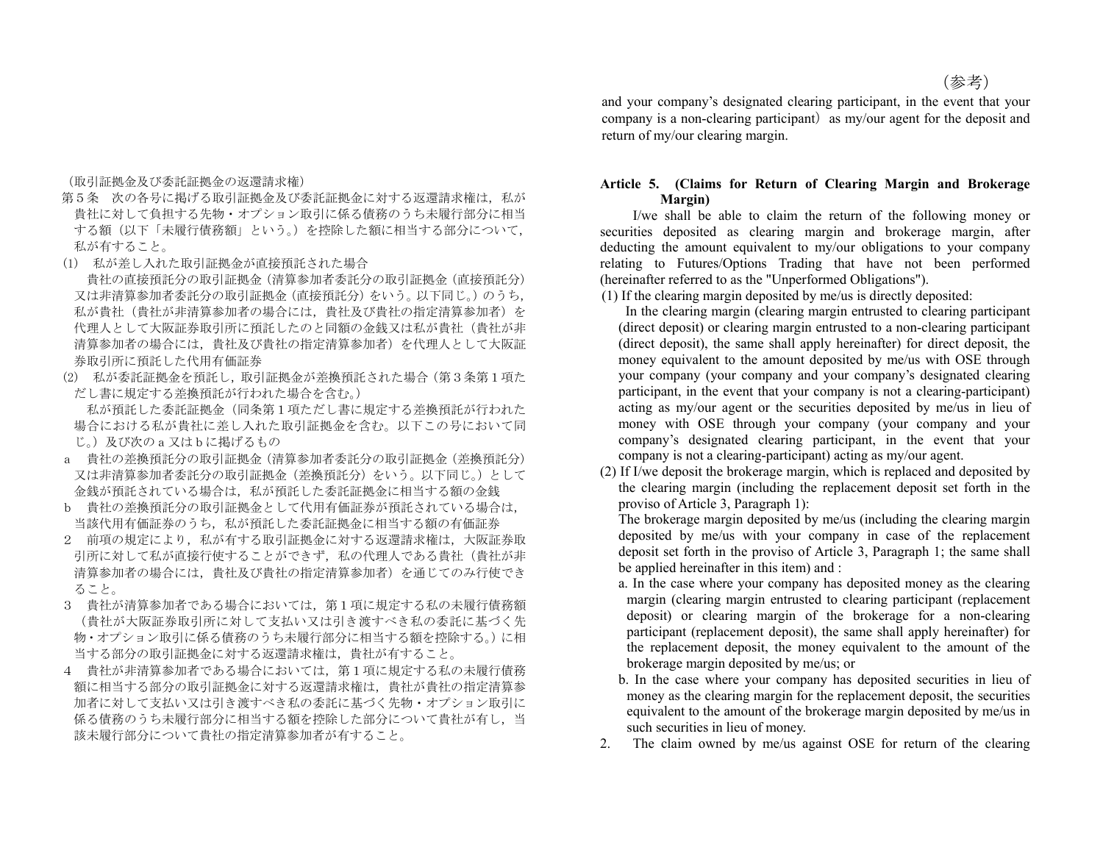(参考)

(取引証拠金及び委託証拠金の返還請求権)

- 第5条 次の各号に掲げる取引証拠金及び委託証拠金に対する返還請求権は、私が 貴社に対して負担する先物・オプション取引に係る債務のうち未履行部分に相当 する額(以下「未履行債務額」という。)を控除した額に相当する部分について, 私が有すること。
- (1) 私が差し入れた取引証拠金が直接預託された場合
- 貴社の直接預託分の取引証拠金(清算参加者委託分の取引証拠金(直接預託分) 又は非清算参加者委託分の取引証拠金(直接預託分)をいう。以下同じ。)のうち, 私が貴社(貴社が非清算参加者の場合には,貴社及び貴社の指定清算参加者)を 代理人として大阪証券取引所に預託したのと同額の金銭又は私が貴社(貴社が非 清算参加者の場合には,貴社及び貴社の指定清算参加者)を代理人として大阪証 券取引所に預託した代用有価証券
- (2) 私が委託証拠金を預託し,取引証拠金が差換預託された場合(第3条第1項た だし書に規定する差換預託が行われた場合を含む。)

私が預託した委託証拠金(同条第1項ただし書に規定する差換預託が行われた 場合における私が貴社に差し入れた取引証拠金を含む。以下この号において同 じ。)及び次のa又はbに掲げるもの

- a 貴社の差換預託分の取引証拠金(清算参加者委託分の取引証拠金(差換預託分) 又は非清算参加者委託分の取引証拠金(差換預託分)をいう。以下同じ。)として 金銭が預託されている場合は,私が預託した委託証拠金に相当する額の金銭
- b 貴社の差換預託分の取引証拠金として代用有価証券が預託されている場合は, 当該代用有価証券のうち,私が預託した委託証拠金に相当する額の有価証券
- 2 前項の規定により,私が有する取引証拠金に対する返還請求権は,大阪証券取 引所に対して私が直接行使することができず、私の代理人である貴社(貴社が非 清算参加者の場合には,貴社及び貴社の指定清算参加者)を通じてのみ行使でき ること。
- 3 貴社が清算参加者である場合においては,第1項に規定する私の未履行債務額 (貴社が大阪証券取引所に対して支払い又は引き渡すべき私の委託に基づく先 物・オプション取引に係る債務のうち未履行部分に相当する額を控除する。)に相 当する部分の取引証拠金に対する返還請求権は,貴社が有すること。
- 4 貴社が非清算参加者である場合においては,第1項に規定する私の未履行債務 額に相当する部分の取引証拠金に対する返還請求権は,貴社が貴社の指定清算参 加者に対して支払い又は引き渡すべき私の委託に基づく先物・オプション取引に 係る債務のうち未履行部分に相当する額を控除した部分について貴社が有し,当 該未履行部分について貴社の指定清算参加者が有すること。

and your company's designated clearing participant, in the event that your company is a non-clearing participant) as my/our agent for the deposit and return of my/our clearing margin.

## **Article 5. (Claims for Return of Clearing Margin and Brokerage Margin)**

 I/we shall be able to claim the return of the following money or securities deposited as clearing margin and brokerage margin, after deducting the amount equivalent to my/our obligations to your company relating to Futures/Options Trading that have not been performed (hereinafter referred to as the "Unperformed Obligations").

(1) If the clearing margin deposited by me/us is directly deposited:

 In the clearing margin (clearing margin entrusted to clearing participant (direct deposit) or clearing margin entrusted to a non-clearing participant (direct deposit), the same shall apply hereinafter) for direct deposit, the money equivalent to the amount deposited by me/us with OSE through your company (your company and your company's designated clearing participant, in the event that your company is not a clearing-participant) acting as my/our agent or the securities deposited by me/us in lieu of money with OSE through your company (your company and your company's designated clearing participant, in the event that your company is not a clearing-participant) acting as my/our agent.

(2) If I/we deposit the brokerage margin, which is replaced and deposited by the clearing margin (including the replacement deposit set forth in the proviso of Article 3, Paragraph 1):

The brokerage margin deposited by me/us (including the clearing margin deposited by me/us with your company in case of the replacement deposit set forth in the proviso of Article 3, Paragraph 1; the same shall be applied hereinafter in this item) and :

- a. In the case where your company has deposited money as the clearing margin (clearing margin entrusted to clearing participant (replacement deposit) or clearing margin of the brokerage for a non-clearing participant (replacement deposit), the same shall apply hereinafter) for the replacement deposit, the money equivalent to the amount of the brokerage margin deposited by me/us; or
- b. In the case where your company has deposited securities in lieu of money as the clearing margin for the replacement deposit, the securities equivalent to the amount of the brokerage margin deposited by me/us in such securities in lieu of money.
- 2. The claim owned by me/us against OSE for return of the clearing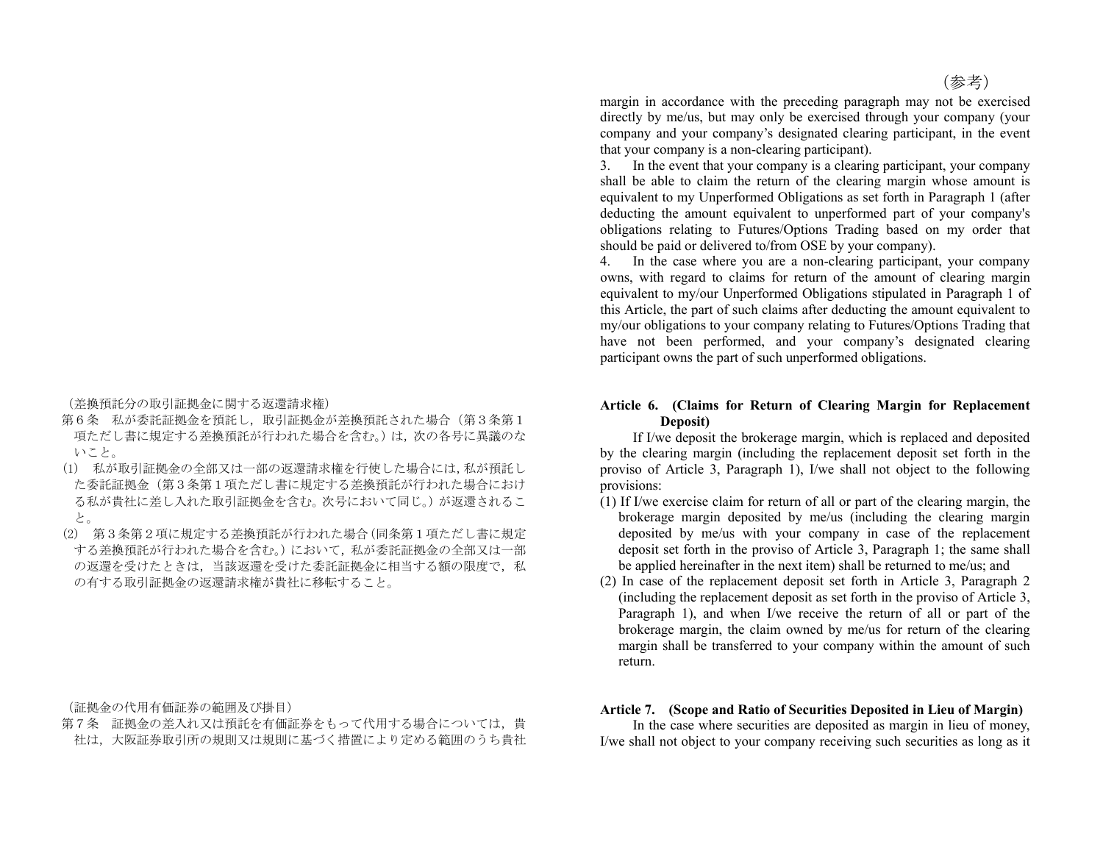(差換預託分の取引証拠金に関する返還請求権)

- 第6条 私が委託証拠金を預託し、取引証拠金が差換預託された場合(第3条第1 項ただし書に規定する差換預託が行われた場合を含む。)は,次の各号に異議のな いこと。
- (1) 私が取引証拠金の全部又は一部の返還請求権を行使した場合には,私が預託し た委託証拠金(第3条第1項ただし書に規定する差換預託が行われた場合におけ る私が貴社に差し入れた取引証拠金を含む。次号において同じ。)が返還されるこ と。
- (2) 第3条第2項に規定する差換預託が行われた場合(同条第1項ただし書に規定 する差換預託が行われた場合を含む。)において,私が委託証拠金の全部又は一部 の返還を受けたを託証拠金に相当する額の限度で、私 の有する取引証拠金の返還請求権が貴社に移転すること。

(証拠金の代用有価証券の範囲及び掛目)

第7条 証拠金の差入れ又は預託を有価証券をもって代用する場合については、貴 社は,大阪証券取引所の規則又は規則に基づく措置により定める範囲のうち貴社 margin in accordance with the preceding paragraph may not be exercised directly by me/us, but may only be exercised through your company (your company and your company's designated clearing participant, in the event that your company is a non-clearing participant).

3. In the event that your company is a clearing participant, your company shall be able to claim the return of the clearing margin whose amount is equivalent to my Unperformed Obligations as set forth in Paragraph 1 (after deducting the amount equivalent to unperformed part of your company's obligations relating to Futures/Options Trading based on my order that should be paid or delivered to/from OSE by your company).

4. In the case where you are a non-clearing participant, your company owns, with regard to claims for return of the amount of clearing margin equivalent to my/our Unperformed Obligations stipulated in Paragraph 1 of this Article, the part of such claims after deducting the amount equivalent to my/our obligations to your company relating to Futures/Options Trading that have not been performed, and your company's designated clearing participant owns the part of such unperformed obligations.

## **Article 6. (Claims for Return of Clearing Margin for Replacement Deposit)**

 If I/we deposit the brokerage margin, which is replaced and deposited by the clearing margin (including the replacement deposit set forth in the proviso of Article 3, Paragraph 1), I/we shall not object to the following provisions:

- (1) If I/we exercise claim for return of all or part of the clearing margin, the brokerage margin deposited by me/us (including the clearing margin deposited by me/us with your company in case of the replacement deposit set forth in the proviso of Article 3, Paragraph 1; the same shall be applied hereinafter in the next item) shall be returned to me/us; and
- (2) In case of the replacement deposit set forth in Article 3, Paragraph 2 (including the replacement deposit as set forth in the proviso of Article 3, Paragraph 1), and when I/we receive the return of all or part of the brokerage margin, the claim owned by me/us for return of the clearing margin shall be transferred to your company within the amount of such return.

# **Article 7. (Scope and Ratio of Securities Deposited in Lieu of Margin)**

 In the case where securities are deposited as margin in lieu of money, I/we shall not object to your company receiving such securities as long as it

(参考)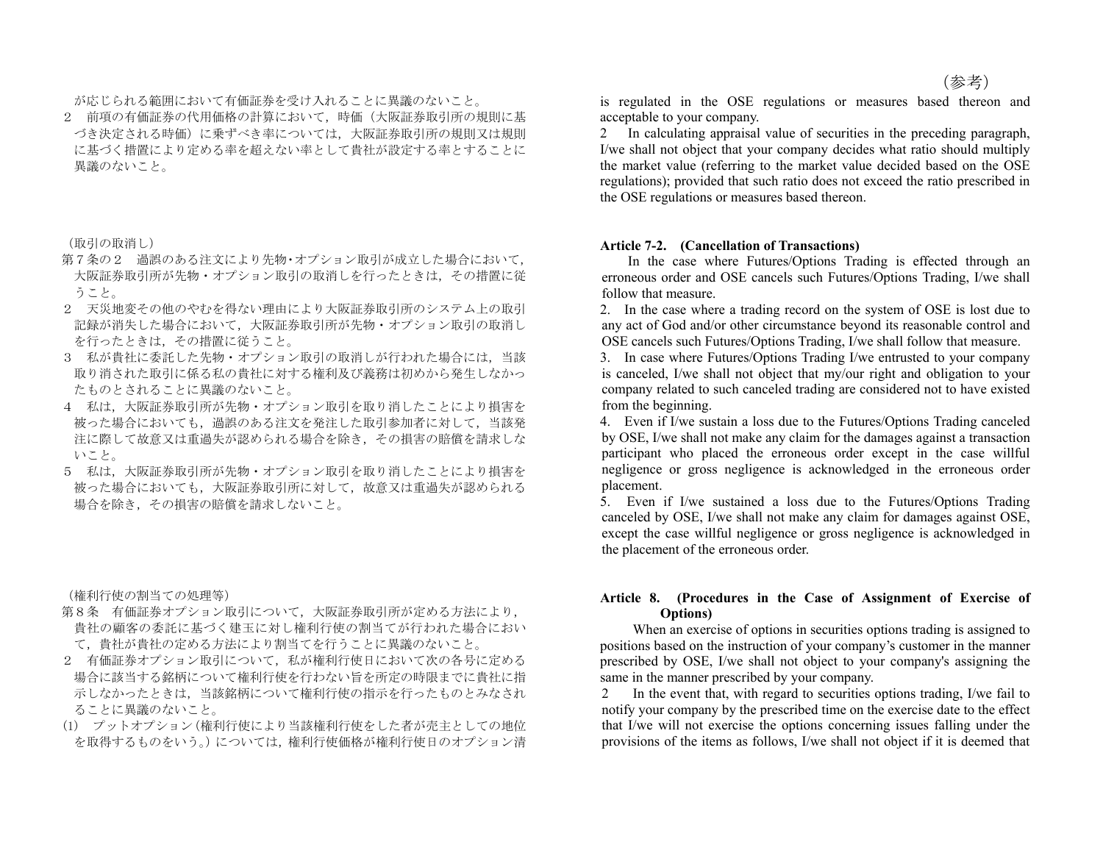が応じられる範囲において有価証券を受け入れることに異議のないこと。

2 前項の有価証券の代用価格の計算において,時価(大阪証券取引所の規則に基 づき決定される時価)に乗ずべき率については,大阪証券取引所の規則又は規則 に基づく措置により定める率を超えない率として貴社が設定する率とすることに 異議のないこと。

(取引の取消し)

- 第7条の2 過誤のある注文により先物·オプション取引が成立した場合において, 大阪証券取引所が先物・オプション取引の取消しを行ったときは,その措置に従 うこと。
- 2 天災地変その他のやむを得ない理由により大阪証券取引所のシステム上の取引 記録が消失した場合において,大阪証券取引所が先物・オプション取引の取消し を行ったときは,その措置に従うこと。
- 3 私が貴社に委託した先物・オプション取引の取消しが行われた場合には,当該 取り消された取引に係る私の貴社に対する権利及び義務は初めから発生しなかっ たものとされることに異議のないこと。
- 4 私は,大阪証券取引所が先物・オプション取引を取り消したことにより損害を 被った場合においても,過誤のある注文を発注した取引参加者に対して,当該発 注に際して故意又は重過失が認められる場合を除き,その損害の賠償を請求しな いこと。
- 5 私は,大阪証券取引所が先物・オプション取引を取り消したことにより損害を 被った場合においても,大阪証券取引所に対して,故意又は重過失が認められる 場合を除き,その損害の賠償を請求しないこと。

(権利行使の割当ての処理等)

- 第8条 有価証券オプション取引について,大阪証券取引所が定める方法により, 貴社の顧客の委託に基づく建玉に対し権利行使の割当てが行われた場合におい て,貴社が貴社の定める方法により割当てを行うことに異議のないこと。
- 2 有価証券オプション取引について,私が権利行使日において次の各号に定める 場合に該当する銘柄について権利行使を行わない旨を所定の時限までに貴社に指 示しなかったときは,当該銘柄について権利行使の指示を行ったものとみなされ ることに異議のないこと。
- (1) プットオプション(権利行使により当該権利行使をした者が売主としての地位 を取得するものをいう。)については,権利行使価格が権利行使日のオプション清

is regulated in the OSE regulations or measures based thereon and acceptable to your company.

2 In calculating appraisal value of securities in the preceding paragraph, I/we shall not object that your company decides what ratio should multiply the market value (referring to the market value decided based on the OSE regulations); provided that such ratio does not exceed the ratio prescribed in the OSE regulations or measures based thereon.

## **Article 7-2. (Cancellation of Transactions)**

 In the case where Futures/Options Trading is effected through an erroneous order and OSE cancels such Futures/Options Trading, I/we shall follow that measure.

2. In the case where a trading record on the system of OSE is lost due to any act of God and/or other circumstance beyond its reasonable control and OSE cancels such Futures/Options Trading, I/we shall follow that measure.

3. In case where Futures/Options Trading I/we entrusted to your company is canceled, I/we shall not object that my/our right and obligation to your company related to such canceled trading are considered not to have existed from the beginning.

4. Even if I/we sustain a loss due to the Futures/Options Trading canceled by OSE, I/we shall not make any claim for the damages against a transaction participant who placed the erroneous order except in the case willful negligence or gross negligence is acknowledged in the erroneous order placement.

5. Even if I/we sustained a loss due to the Futures/Options Trading canceled by OSE, I/we shall not make any claim for damages against OSE, except the case willful negligence or gross negligence is acknowledged in the placement of the erroneous order.

## **Article 8. (Procedures in the Case of Assignment of Exercise of Options)**

 When an exercise of options in securities options trading is assigned to positions based on the instruction of your company's customer in the manner prescribed by OSE, I/we shall not object to your company's assigning the same in the manner prescribed by your company.

In the event that, with regard to securities options trading, I/we fail to notify your company by the prescribed time on the exercise date to the effect that I/we will not exercise the options concerning issues falling under the provisions of the items as follows, I/we shall not object if it is deemed that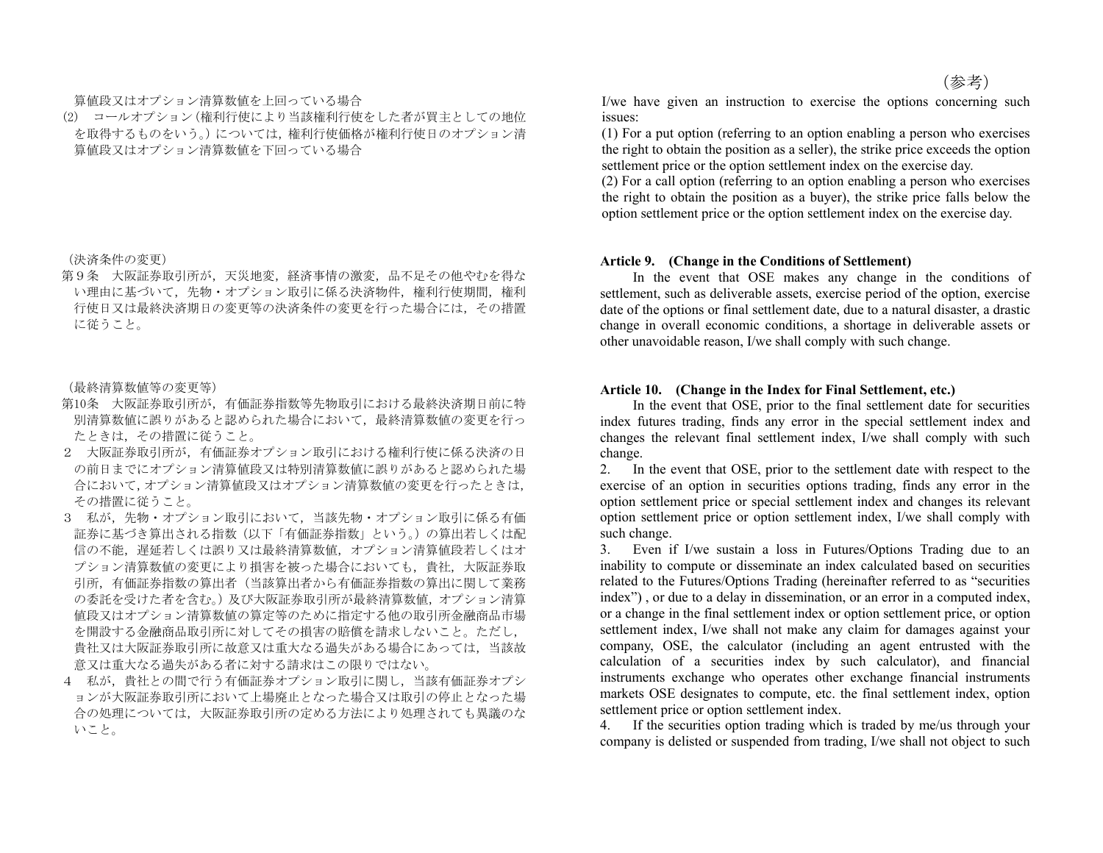#### 算値段又はオプション清算数値を上回っている場合

(2) コールオプション(権利行使により当該権利行使をした者が買主としての地位 を取得するものをいう。)については,権利行使価格が権利行使日のオプション清 算値段又はオプション清算数値を下回っている場合

(決済条件の変更)

第9条 大阪証券取引所が,天災地変,経済事情の激変,品不足その他やむを得な い理由に基づいて,先物・オプション取引に係る決済物件,権利行使期間,権利 行使日又は最終決済期日の変更等の決済条件の変更を行った場合には,その措置 に従うこと。

(最終清算数値等の変更等)

- 第10条 大阪証券取引所が,有価証券指数等先物取引における最終決済期日前に特 別清算数値に誤りがあると認められた場合において,最終清算数値の変更を行っ たときは,その措置に従うこと。
- 2 大阪証券取引所が,有価証券オプション取引における権利行使に係る決済の日 の前日までにオプション清算値段又は特別清算数値に誤りがあると認められた場 合において,オプション清算値段又はオプション清算数値の変更を行ったときは, その措置に従うこと。
- 3 私が,先物・オプション取引において,当該先物・オプション取引に係る有価 証券に基づき算出される指数(以下「有価証券指数」という。)の算出若しくは配 信の不能,遅延若しくは誤り又は最終清算数値,オプション清算値段若しくはオ プション清算数値の変更により損害を被った場合においても,貴社,大阪証券取 引所,有価証券指数の算出者(当該算出者から有価証券指数の算出に関して業務 の委託を受けた者を含む。)及び大阪証券取引所が最終清算数値、オプション清算 値段又はオプション清算数値の算定等のために指定する他の取引所金融商品市場 を開設する金融商品取引所に対してその損害の賠償を請求しないこと。ただし, 貴社又は大阪証券取引所に故意又は重大なる過失がある場合にあっては,当該故 意又は重大なる過失がある者に対する請求はこの限りではない。
- 4 私が,貴社との間で行う有価証券オプション取引に関し,当該有価証券オプシ ョンが大阪証券取引所において上場廃止となった場合又は取引の停止となった場 合の処理については,大阪証券取引所の定める方法により処理されても異議のな いこと。

I/we have given an instruction to exercise the options concerning such issues:

(1) For a put option (referring to an option enabling a person who exercises the right to obtain the position as a seller), the strike price exceeds the option settlement price or the option settlement index on the exercise day.

(2) For a call option (referring to an option enabling a person who exercises the right to obtain the position as a buyer), the strike price falls below the option settlement price or the option settlement index on the exercise day.

#### **Article 9. (Change in the Conditions of Settlement)**

 In the event that OSE makes any change in the conditions of settlement, such as deliverable assets, exercise period of the option, exercise date of the options or final settlement date, due to a natural disaster, a drastic change in overall economic conditions, a shortage in deliverable assets or other unavoidable reason, I/we shall comply with such change.

### **Article 10. (Change in the Index for Final Settlement, etc.)**

 In the event that OSE, prior to the final settlement date for securities index futures trading, finds any error in the special settlement index and changes the relevant final settlement index, I/we shall comply with such change.

2. In the event that OSE, prior to the settlement date with respect to the exercise of an option in securities options trading, finds any error in the option settlement price or special settlement index and changes its relevant option settlement price or option settlement index, I/we shall comply with such change.

3. Even if I/we sustain a loss in Futures/Options Trading due to an inability to compute or disseminate an index calculated based on securities related to the Futures/Options Trading (hereinafter referred to as "securities index") , or due to a delay in dissemination, or an error in a computed index, or a change in the final settlement index or option settlement price, or option settlement index, I/we shall not make any claim for damages against your company, OSE, the calculator (including an agent entrusted with the calculation of a securities index by such calculator), and financial instruments exchange who operates other exchange financial instruments markets OSE designates to compute, etc. the final settlement index, option settlement price or option settlement index.

4. If the securities option trading which is traded by me/us through your company is delisted or suspended from trading, I/we shall not object to such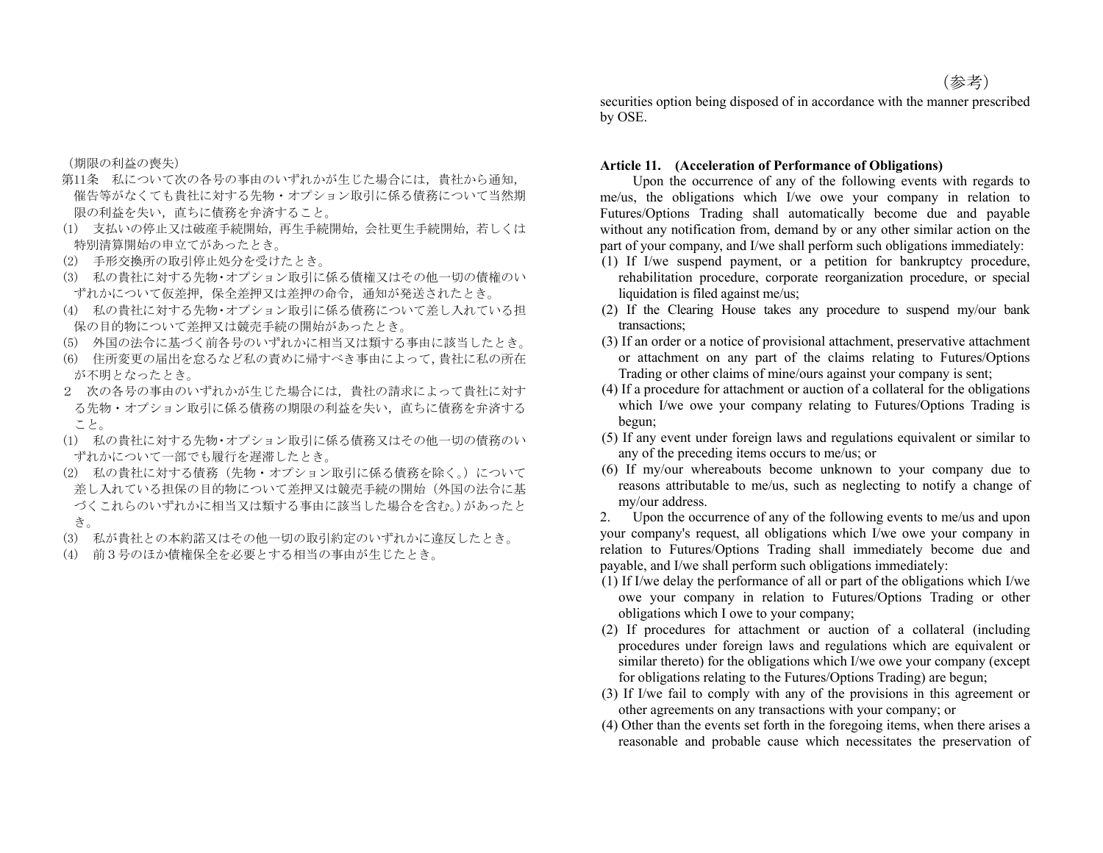(期限の利益の喪失)

- 第11条 私について次の各号の事由のいずれかが生じた場合には,貴社から通知, 催告等がなくても貴社に対する先物・オプション取引に係る債務について当然期 限の利益を失い,直ちに債務を弁済すること。
- (1) 支払いの停止又は破産手続開始,再生手続開始,会社更生手続開始,若しくは 特別清算開始の申立てがあったとき。
- (2) 手形交換所の取引停止処分を受けたとき。
- (3) 私の貴社に対する先物・オプション取引に係る債権又はその他一切の債権のい ずれかについて仮差押,保全差押又は差押の命令,通知が発送されたとき。
- (4) 私の貴社に対する先物・オプション取引に係る債務について差し入れている担 保の目的物について差押又は競売手続の開始があったとき。
- (5) 外国の法令に基づく前各号のいずれかに相当又は類する事由に該当したとき。
- (6) 住所変更の届出を怠るなど私の責めに帰すべき事由によって,貴社に私の所在 が不明となったとき。
- 2 次の各号の事由のいずれかが生じた場合には,貴社の請求によって貴社に対す る先物・オプション取引に係る債務の期限の利益を失い,直ちに債務を弁済する こと。
- (1) 私の貴社に対する先物・オプション取引に係る債務又はその他一切の債務のい ずれかについて一部でも履行を遅滞したとき。
- (2) 私の貴社に対する債務(先物・オプション取引に係る債務を除く。)について 差し入れている担保の目的物について差押又は競売手続の開始(外国の法令に基 づくこれらのいずれかに相当又は類する事由に該当した場合を含む。)があったと き。
- (3) 私が貴社との本約諾又はその他一切の取引約定のいずれかに違反したとき。
- (4) 前3号のほか債権保全を必要とする相当の事由が生じたとき。

#### **Article 11. (Acceleration of Performance of Obligations)**

 Upon the occurrence of any of the following events with regards to me/us, the obligations which I/we owe your company in relation to Futures/Options Trading shall automatically become due and payable without any notification from, demand by or any other similar action on the part of your company, and I/we shall perform such obligations immediately:

- (1) If I/we suspend payment, or a petition for bankruptcy procedure, rehabilitation procedure, corporate reorganization procedure, or special liquidation is filed against me/us;
- (2) If the Clearing House takes any procedure to suspend my/our bank transactions;
- (3) If an order or a notice of provisional attachment, preservative attachment or attachment on any part of the claims relating to Futures/Options Trading or other claims of mine/ours against your company is sent;
- (4) If a procedure for attachment or auction of a collateral for the obligations which I/we owe your company relating to Futures/Options Trading is begun;
- (5) If any event under foreign laws and regulations equivalent or similar to any of the preceding items occurs to me/us; or
- (6) If my/our whereabouts become unknown to your company due to reasons attributable to me/us, such as neglecting to notify a change of my/our address.

2. Upon the occurrence of any of the following events to me/us and upon your company's request, all obligations which I/we owe your company in relation to Futures/Options Trading shall immediately become due and payable, and I/we shall perform such obligations immediately:

- (1) If I/we delay the performance of all or part of the obligations which I/we owe your company in relation to Futures/Options Trading or other obligations which I owe to your company;
- (2) If procedures for attachment or auction of a collateral (including procedures under foreign laws and regulations which are equivalent or similar thereto) for the obligations which I/we owe your company (except for obligations relating to the Futures/Options Trading) are begun;
- (3) If I/we fail to comply with any of the provisions in this agreement or other agreements on any transactions with your company; or
- (4) Other than the events set forth in the foregoing items, when there arises a reasonable and probable cause which necessitates the preservation of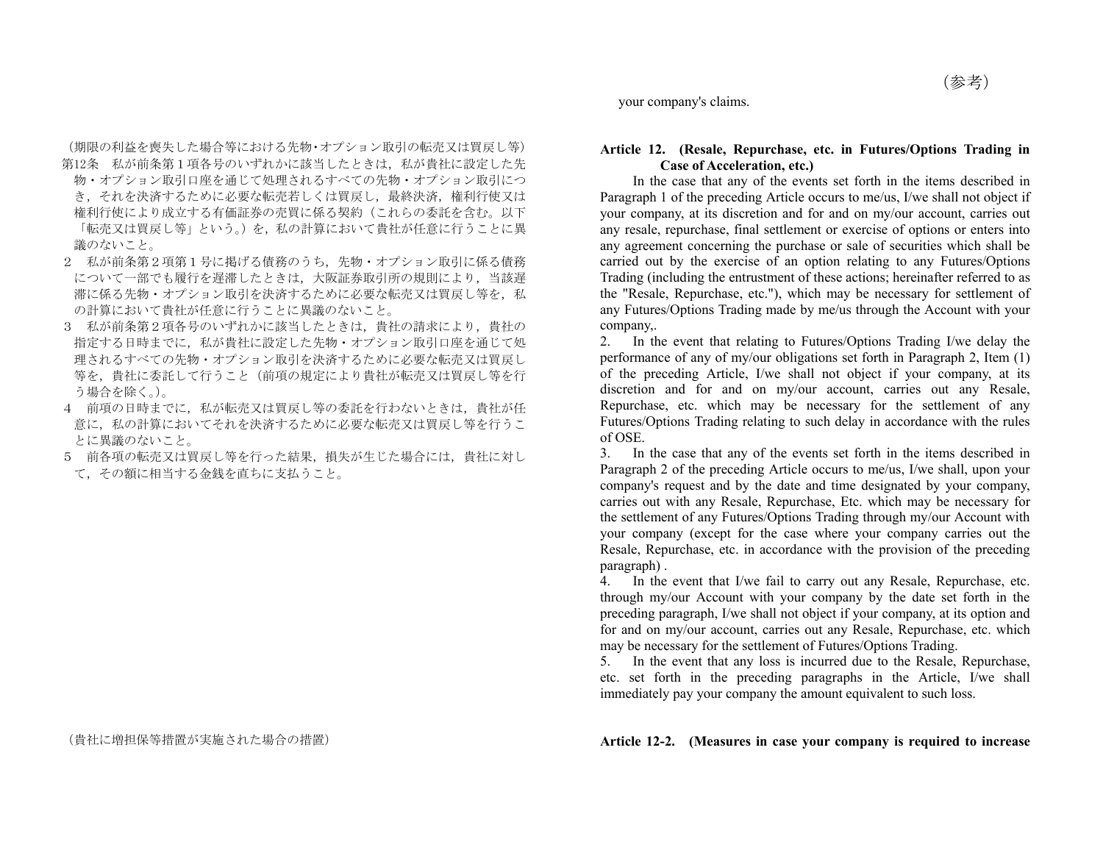(期限の利益を喪失した場合等における先物・オプション取引の転売又は買戻し等) 第12条 私が前条第1項各号のいずれかに該当したときは、私が貴社に設定した先 物・オプション取引口座を通じて処理されるすべての先物・オプション取引につ き,それを決済するために必要な転売若しくは買戻し,最終決済,権利行使又は 権利行使により成立する有価証券の売買に係る契約(これらの委託を含む。以下 「転売又は買戻し等」という。)を、私の計算において貴社が任意に行うことに異 議のないこと。

- 2 私が前条第2項第1号に掲げる債務のうち,先物・オプション取引に係る債務 について一部でも履行を遅滞したときは,大阪証券取引所の規則により,当該遅 滞に係る先物・オプション取引を決済するために必要な転売又は買戻し等を、私 の計算において貴社が任意に行うことに異議のないこと。
- 3 私が前条第2項各号のいずれかに該当したときは,貴社の請求により,貴社の 指定する日時までに,私が貴社に設定した先物・オプション取引口座を通じて処 理されるすべての先物・オプション取引を決済するために必要な転売又は買戻し 等を,貴社に委託して行うこと(前項の規定により貴社が転売又は買戻し等を行 う場合を除く。)。
- 4 前項の日時までに、私が転売又は買戻し等の委託を行わないときは、貴社が任 意に,私の計算においてそれを決済するために必要な転売又は買戻し等を行うこ とに異議のないこと。
- 5 前各項の転売又は買戻し等を行った結果,損失が生じた場合には,貴社に対し て,その額に相当する金銭を直ちに支払うこと。

your company's claims.

### **Article 12. (Resale, Repurchase, etc. in Futures/Options Trading in Case of Acceleration, etc.)**

 In the case that any of the events set forth in the items described in Paragraph 1 of the preceding Article occurs to me/us, I/we shall not object if your company, at its discretion and for and on my/our account, carries out any resale, repurchase, final settlement or exercise of options or enters into any agreement concerning the purchase or sale of securities which shall be carried out by the exercise of an option relating to any Futures/Options Trading (including the entrustment of these actions; hereinafter referred to as the "Resale, Repurchase, etc."), which may be necessary for settlement of any Futures/Options Trading made by me/us through the Account with your company,.

2. In the event that relating to Futures/Options Trading I/we delay the performance of any of my/our obligations set forth in Paragraph 2, Item (1) of the preceding Article, I/we shall not object if your company, at its discretion and for and on my/our account, carries out any Resale, Repurchase, etc. which may be necessary for the settlement of any Futures/Options Trading relating to such delay in accordance with the rules of OSE.

3. In the case that any of the events set forth in the items described in Paragraph 2 of the preceding Article occurs to me/us, I/we shall, upon your company's request and by the date and time designated by your company, carries out with any Resale, Repurchase, Etc. which may be necessary for the settlement of any Futures/Options Trading through my/our Account with your company (except for the case where your company carries out the Resale, Repurchase, etc. in accordance with the provision of the preceding paragraph) .

4. In the event that I/we fail to carry out any Resale, Repurchase, etc. through my/our Account with your company by the date set forth in the preceding paragraph, I/we shall not object if your company, at its option and for and on my/our account, carries out any Resale, Repurchase, etc. which may be necessary for the settlement of Futures/Options Trading.

5. In the event that any loss is incurred due to the Resale, Repurchase, etc. set forth in the preceding paragraphs in the Article, I/we shall immediately pay your company the amount equivalent to such loss.

## (貴社に増担保等措置が実施された場合の措置) **Article 12-2. (Measures in case your company is required to increase**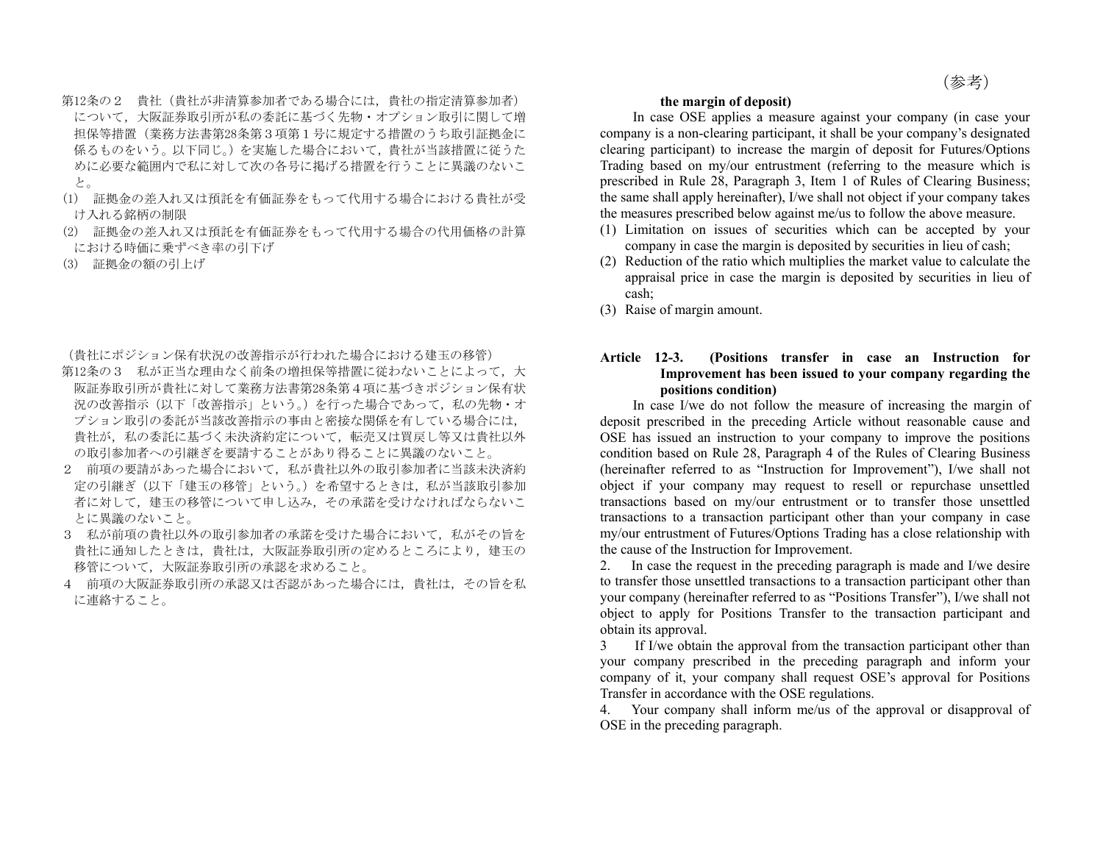- 第12条の2 貴社(貴社が非清算参加者である場合には,貴社の指定清算参加者) について,大阪証券取引所が私の委託に基づく先物・オプション取引に関して増 担保等措置(業務方法書第28条第3項第1号に規定する措置のうち取引証拠金に 係るものをいう。以下同じ。)を実施した場合において,貴社が当該措置に従うた めに必要な範囲内で私に対して次の各号に掲げる措置を行うことに異議のないこ と。
- (1) 証拠金の差入れ又は預託を有価証券をもって代用する場合における貴社が受 け入れる銘柄の制限
- (2) 証拠金の差入れ又は預託を有価証券をもって代用する場合の代用価格の計算 における時価に乗ずべき率の引下げ
- (3) 証拠金の額の引上げ

(貴社にポジション保有状況の改善指示が行われた場合における建玉の移管)

- 第12条の3 私が正当な理由なく前条の増担保等措置に従わないことによって、大 阪証券取引所が貴社に対して業務方法書第28条第4項に基づきポジション保有状 況の改善指示「改善指示」という。)を行った場合であって、私の先物・オ プション取引の委託が当該改善指示の事由と密接な関係を有している場合には, 貴社が,私の委託に基づく未決済約定について,転売又は買戻し等又は貴社以外 の取引参加者への引継ぎを要請することがあり得ることに異議のないこと。
- 2 前項の要請があった場合において,私が貴社以外の取引参加者に当該未決済約 定の引継ぎ(以下「建玉の移管」という。)を希望するときは,私が当該取引参加 者に対して,建玉の移管について申し込み,その承諾を受けなければならないこ とに異議のないこと。
- 3 私が前項の貴社以外の取引参加者の承諾を受けた場合において、私がその旨を 貴社に通知したときは,貴社は,大阪証券取引所の定めるところにより,建玉の 移管について,大阪証券取引所の承認を求めること。
- 4 前項の大阪証券取引所の承認又は否認があった場合には,貴社は,その旨を私 に連絡すること。

## **the margin of deposit)**

 In case OSE applies a measure against your company (in case your company is a non-clearing participant, it shall be your company's designated clearing participant) to increase the margin of deposit for Futures/Options Trading based on my/our entrustment (referring to the measure which is prescribed in Rule 28, Paragraph 3, Item 1 of Rules of Clearing Business; the same shall apply hereinafter), I/we shall not object if your company takes the measures prescribed below against me/us to follow the above measure.

- (1) Limitation on issues of securities which can be accepted by your company in case the margin is deposited by securities in lieu of cash;
- (2) Reduction of the ratio which multiplies the market value to calculate the appraisal price in case the margin is deposited by securities in lieu of cash;
- (3) Raise of margin amount.

## **Article 12-3. (Positions transfer in case an Instruction for Improvement has been issued to your company regarding the positions condition)**

 In case I/we do not follow the measure of increasing the margin of deposit prescribed in the preceding Article without reasonable cause and OSE has issued an instruction to your company to improve the positions condition based on Rule 28, Paragraph 4 of the Rules of Clearing Business (hereinafter referred to as "Instruction for Improvement"), I/we shall not object if your company may request to resell or repurchase unsettled transactions based on my/our entrustment or to transfer those unsettled transactions to a transaction participant other than your company in case my/our entrustment of Futures/Options Trading has a close relationship with the cause of the Instruction for Improvement.

2. In case the request in the preceding paragraph is made and I/we desire to transfer those unsettled transactions to a transaction participant other than your company (hereinafter referred to as "Positions Transfer"), I/we shall not object to apply for Positions Transfer to the transaction participant and obtain its approval.

3 If I/we obtain the approval from the transaction participant other than your company prescribed in the preceding paragraph and inform your company of it, your company shall request OSE's approval for Positions Transfer in accordance with the OSE regulations.

4. Your company shall inform me/us of the approval or disapproval of OSE in the preceding paragraph.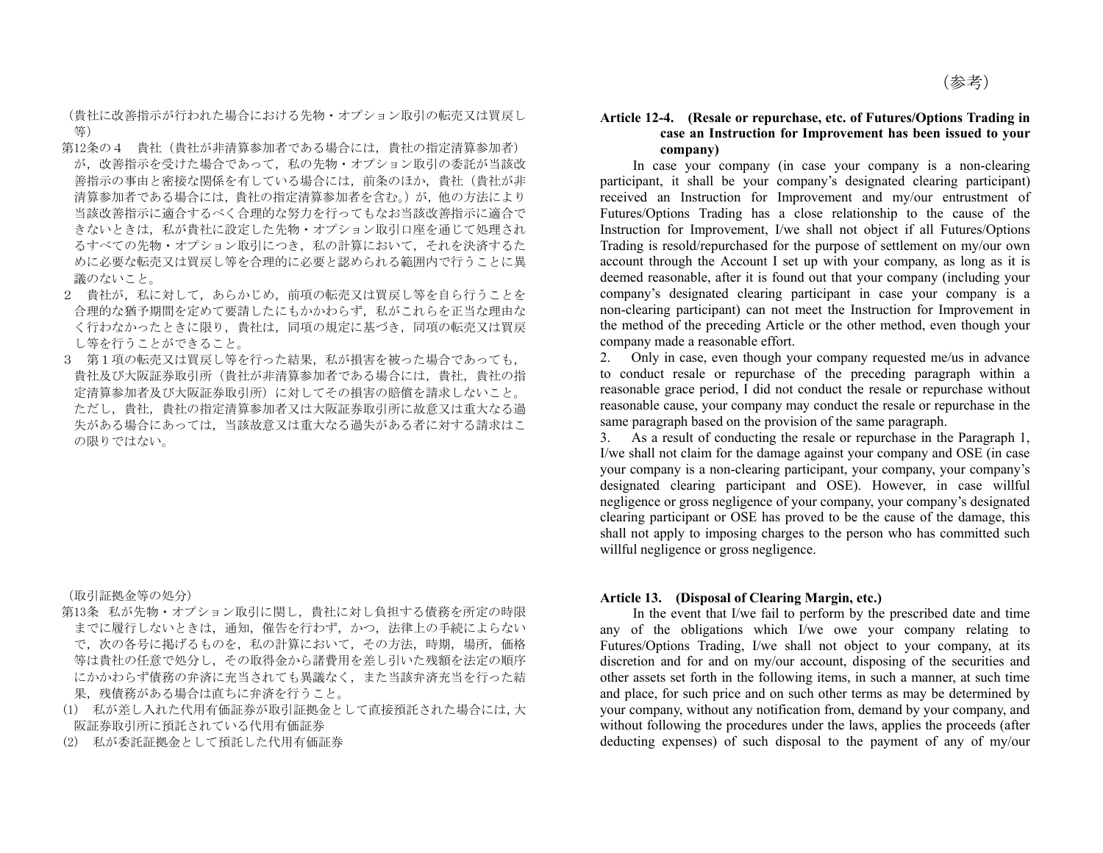(貴社に改善指示が行われた場合における先物・オプション取引の転売又は買戻し 等)

- 第12条の4 貴社(貴社が非清算参加者である場合には,貴社の指定清算参加者) が,改善指示を受けた場合であって,私の先物・オプション取引の委託が当該改 善指示の事由と密接な関係を有している場合には,前条のほか,貴社(貴社が非 清算参加者である場合には、貴社の指定清算参加者を含む。)が,他の方法により 当該改善指示に適合するべく合理的な努力を行ってもなお当該改善指示に適合で きないときは,私が貴社に設定した先物・オプション取引口座を通じて処理され るすべての先物・オプション取引につき, 私の計算において、それを決済するた めに必要な転売又は買戻し等を合理的に必要と認められる範囲内で行うことに異 議のないこと。
- 2 貴社が,私に対して,あらかじめ,前項の転売又は買戻し等を自ら行うことを 合理的な猶予期間を定めて要請したにもかかわらず,私がこれらを正当な理由な く行わなかったときに限り,貴社は,同項の規定に基づき,同項の転売又は買戻 し等を行うことができること。
- 3 第1項の転売又は買戻し等を行った結果,私が損害を被った場合であっても, 貴社及び大阪証券取引所(貴社が非清算参加者である場合には,貴社,貴社の指 定清算参加者及び大阪証券取引所)に対してその損害の賠償を請求しないこと。 ただし,貴社,貴社の指定清算参加者又は大阪証券取引所に故意又は重大なる過 失がある場合にあっては,当該故意又は重大なる過失がある者に対する請求はこ の限りではない。

(取引証拠金等の処分)

- 第13条 私が先物・オプション取引に関し,貴社に対し負担する債務を所定の時限 までに履行しないときは,通知,催告を行わず,かつ,法律上の手続によらない で、次の各号に掲げるものを、私の計算において、その方法、時期、場所、価格 等は貴社の任意で処分し,その取得金から諸費用を差し引いた残額を法定の順序 にかかわらず債務の弁済に充当されても異議なく,また当該弁済充当を行った結 果,残債務がある場合は直ちに弁済を行うこと。
- (1) 私が差し入れた代用有価証券が取引証拠金として直接預託された場合には,大 阪証券取引所に預託されている代用有価証券
- (2) 私が委託証拠金として預託した代用有価証券

### **Article 12-4. (Resale or repurchase, etc. of Futures/Options Trading in case an Instruction for Improvement has been issued to your company)**

 In case your company (in case your company is a non-clearing participant, it shall be your company's designated clearing participant) received an Instruction for Improvement and my/our entrustment of Futures/Options Trading has a close relationship to the cause of the Instruction for Improvement, I/we shall not object if all Futures/Options Trading is resold/repurchased for the purpose of settlement on my/our own account through the Account I set up with your company, as long as it is deemed reasonable, after it is found out that your company (including your company's designated clearing participant in case your company is a non-clearing participant) can not meet the Instruction for Improvement in the method of the preceding Article or the other method, even though your company made a reasonable effort.

2. Only in case, even though your company requested me/us in advance to conduct resale or repurchase of the preceding paragraph within a reasonable grace period, I did not conduct the resale or repurchase without reasonable cause, your company may conduct the resale or repurchase in the same paragraph based on the provision of the same paragraph.

3. As a result of conducting the resale or repurchase in the Paragraph 1, I/we shall not claim for the damage against your company and OSE (in case your company is a non-clearing participant, your company, your company's designated clearing participant and OSE). However, in case willful negligence or gross negligence of your company, your company's designated clearing participant or OSE has proved to be the cause of the damage, this shall not apply to imposing charges to the person who has committed such willful negligence or gross negligence.

### **Article 13. (Disposal of Clearing Margin, etc.)**

 In the event that I/we fail to perform by the prescribed date and time any of the obligations which I/we owe your company relating to Futures/Options Trading, I/we shall not object to your company, at its discretion and for and on my/our account, disposing of the securities and other assets set forth in the following items, in such a manner, at such time and place, for such price and on such other terms as may be determined by your company, without any notification from, demand by your company, and without following the procedures under the laws, applies the proceeds (after deducting expenses) of such disposal to the payment of any of my/our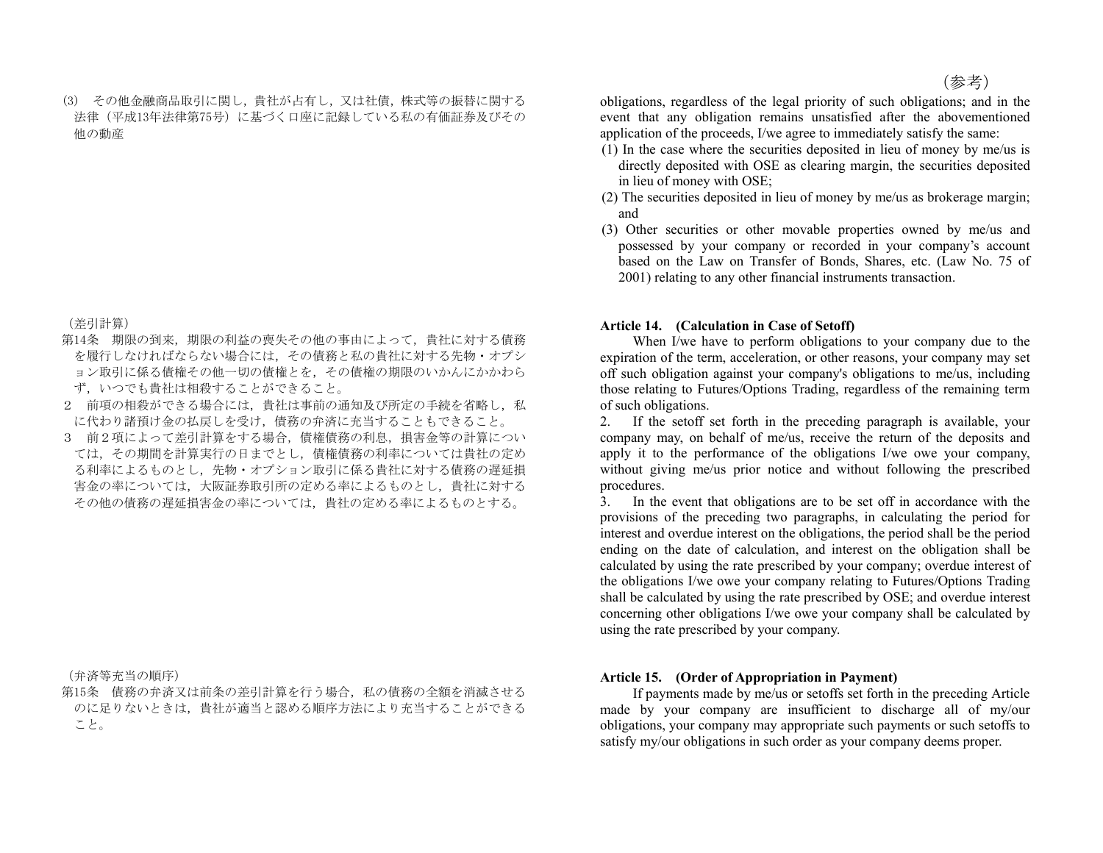(3) その他金融商品取引に関し,貴社が占有し,又は社債,株式等の振替に関する 法律(平成13年法律第75号)に基づく口座に記録している私の有価証券及びその 他の動産

(差引計算)

- 第14条 期限の到来,期限の利益の喪失その他の事由によって、貴社に対する債務 を履行しなければならない場合には,その債務と私の貴社に対する先物・オプシ ョン取引に係る債権その他一切の債権とを,その債権の期限のいかんにかかわら ず,いつでも貴社は相殺することができること。
- 2 前項の相殺ができる場合には、貴社は事前の通知及び所定の手続を省略し、私 に代わり諸預け金の払戻しを受け,債務の弁済に充当することもできること。
- 3 前2項によって差引計算をする場合,債権債務の利息,損害金等の計算につい ては,その期間を計算実行の日までとし,債権債務の利率については貴社の定め る利率によるものとし,先物・オプション取引に係る貴社に対する債務の遅延損 害金の率については,大阪証券取引所の定める率によるものとし,貴社に対する その他の債務の遅延損害金の率については,貴社の定める率によるものとする。

(弁済等充当の順序)

第15条 債務の弁済又は前条の差引計算を行う場合,私の債務の全額を消滅させる のに足りないときは,貴社が適当と認める順序方法により充当することができる こと。

obligations, regardless of the legal priority of such obligations; and in the event that any obligation remains unsatisfied after the abovementioned application of the proceeds, I/we agree to immediately satisfy the same:

- (1) In the case where the securities deposited in lieu of money by me/us is directly deposited with OSE as clearing margin, the securities deposited in lieu of money with OSE;
- (2) The securities deposited in lieu of money by me/us as brokerage margin; and
- (3) Other securities or other movable properties owned by me/us and possessed by your company or recorded in your company's account based on the Law on Transfer of Bonds, Shares, etc. (Law No. 75 of 2001) relating to any other financial instruments transaction.

### **Article 14. (Calculation in Case of Setoff)**

When I/we have to perform obligations to your company due to the expiration of the term, acceleration, or other reasons, your company may set off such obligation against your company's obligations to me/us, including those relating to Futures/Options Trading, regardless of the remaining term of such obligations.

2. If the setoff set forth in the preceding paragraph is available, your company may, on behalf of me/us, receive the return of the deposits and apply it to the performance of the obligations I/we owe your company, without giving me/us prior notice and without following the prescribed procedures.

3. In the event that obligations are to be set off in accordance with the provisions of the preceding two paragraphs, in calculating the period for interest and overdue interest on the obligations, the period shall be the period ending on the date of calculation, and interest on the obligation shall be calculated by using the rate prescribed by your company; overdue interest of the obligations I/we owe your company relating to Futures/Options Trading shall be calculated by using the rate prescribed by OSE; and overdue interest concerning other obligations I/we owe your company shall be calculated by using the rate prescribed by your company.

## **Article 15. (Order of Appropriation in Payment)**

 If payments made by me/us or setoffs set forth in the preceding Article made by your company are insufficient to discharge all of my/our obligations, your company may appropriate such payments or such setoffs to satisfy my/our obligations in such order as your company deems proper.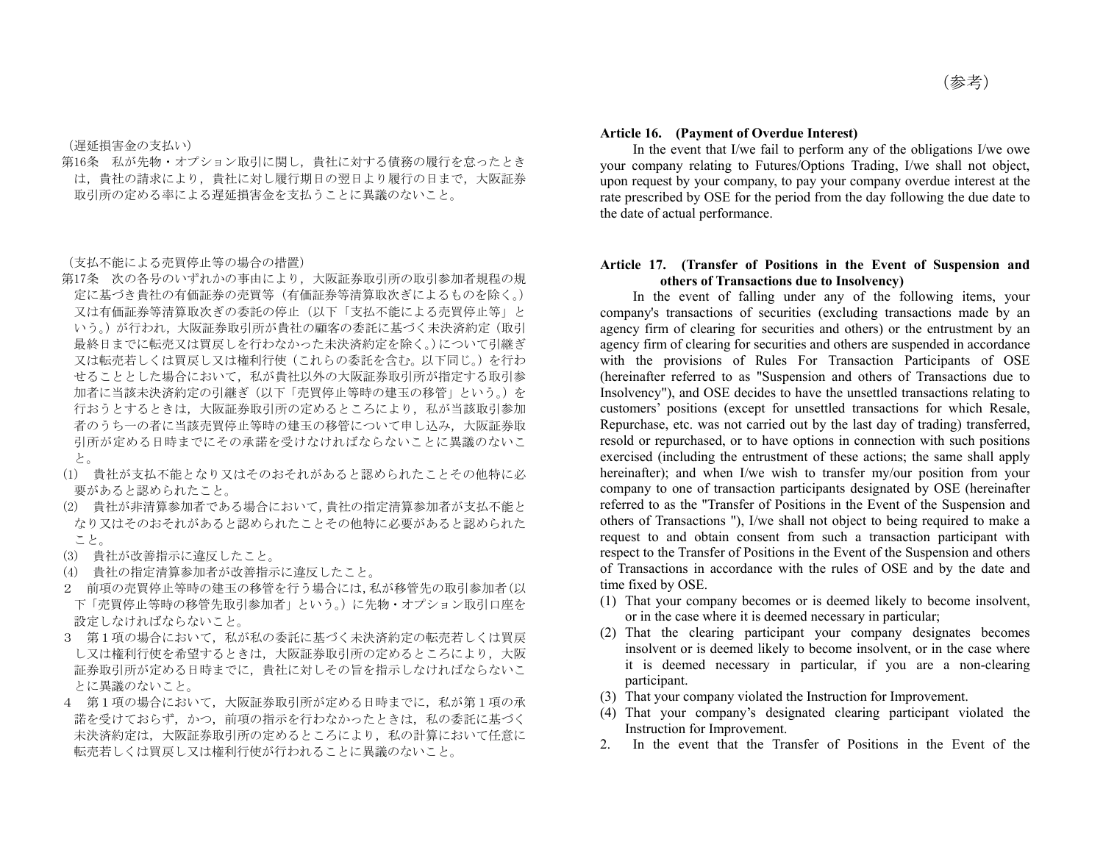(遅延損害金の支払い)

第16条 私が先物・オプション取引に関し,貴社に対する債務の履行を怠ったとき は,貴社の請求により,貴社に対し履行期日の翌日より履行の日まで,大阪証券 取引所の定める率による遅延損害金を支払うことに異議のないこと。

(支払不能による売買停止等の場合の措置)

- 第17条 次の各号のいずれかの事由により,大阪証券取引所の取引参加者規程の規 定に基づき貴社の有価証券の売買等(有価証券等清算取次ぎによるものを除く。) 又は有価証券等清算取次ぎの委託の停止(以下「支払不能による売買停止等」と いう。)が行われ,大阪証券取引所が貴社の顧客の委託に基づく未決済約定(取引 最終日までに転売又は買戻しを行わなかった未決済約定を除く。)について引継ぎ 又は転売若しくは買戻し又は権利行使(これらの委託を含む。以下同じ。)を行わ せることとした場合において,私が貴社以外の大阪証券取引所が指定する取引参 加者に当該未決済約定の引継ぎ(以下「売買停止等時の建玉の移管」という。)を 行おうとするときは,大阪証券取引所の定めるところにより,私が当該取引参加 者のうち一の者に当該売買停止等時の建玉の移管について申し込み,大阪証券取 引所が定める日時までにその承諾を受けなければならないことに異議のないこ と。
- (1) 貴社が支払不能となり又はそのおそれがあると認められたことその他特に必 要があると認められたこと。
- (2) 貴社が非清算参加者である場合において,貴社の指定清算参加者が支払不能と なり又はそのおそれがあると認められたことその他特に必要があると認められた こと。
- (3) 貴社が改善指示に違反したこと。
- (4) 貴社の指定清算参加者が改善指示に違反したこと。
- 2 前項の売買停止等時の建玉の移管を行う場合には,私が移管先の取引参加者(以 下「売買停止等時の移管先取引参加者」という。)に先物・オプション取引口座を 設定しなければならないこと。
- 3 第1項の場合において,私が私の委託に基づく未決済約定の転売若しくは買戻 し又は権利行使を希望するときは,大阪証券取引所の定めるところにより,大阪 証券取引所が定める日時までに,貴社に対しその旨を指示しなければならないこ とに異議のないこと。
- 4 第1項の場合において,大阪証券取引所が定める日時までに,私が第1項の承 諾を受けておらず,かつ,前項の指示を行わなかったときは,私の委託に基づく 未決済約定は,大阪証券取引所の定めるところにより,私の計算において任意に 転売若しくは買戻し又は権利行使が行われることに異議のないこと。

#### **Article 16. (Payment of Overdue Interest)**

 In the event that I/we fail to perform any of the obligations I/we owe your company relating to Futures/Options Trading, I/we shall not object, upon request by your company, to pay your company overdue interest at the rate prescribed by OSE for the period from the day following the due date to the date of actual performance.

### **Article 17. (Transfer of Positions in the Event of Suspension and others of Transactions due to Insolvency)**

 In the event of falling under any of the following items, your company's transactions of securities (excluding transactions made by an agency firm of clearing for securities and others) or the entrustment by an agency firm of clearing for securities and others are suspended in accordance with the provisions of Rules For Transaction Participants of OSE (hereinafter referred to as "Suspension and others of Transactions due to Insolvency"), and OSE decides to have the unsettled transactions relating to customers' positions (except for unsettled transactions for which Resale, Repurchase, etc. was not carried out by the last day of trading) transferred, resold or repurchased, or to have options in connection with such positions exercised (including the entrustment of these actions; the same shall apply hereinafter); and when I/we wish to transfer my/our position from your company to one of transaction participants designated by OSE (hereinafter referred to as the "Transfer of Positions in the Event of the Suspension and others of Transactions "), I/we shall not object to being required to make a request to and obtain consent from such a transaction participant with respect to the Transfer of Positions in the Event of the Suspension and others of Transactions in accordance with the rules of OSE and by the date and time fixed by OSE.

- (1) That your company becomes or is deemed likely to become insolvent, or in the case where it is deemed necessary in particular;
- (2) That the clearing participant your company designates becomes insolvent or is deemed likely to become insolvent, or in the case where it is deemed necessary in particular, if you are a non-clearing participant.
- (3) That your company violated the Instruction for Improvement.
- (4) That your company's designated clearing participant violated the Instruction for Improvement.
- 2. In the event that the Transfer of Positions in the Event of the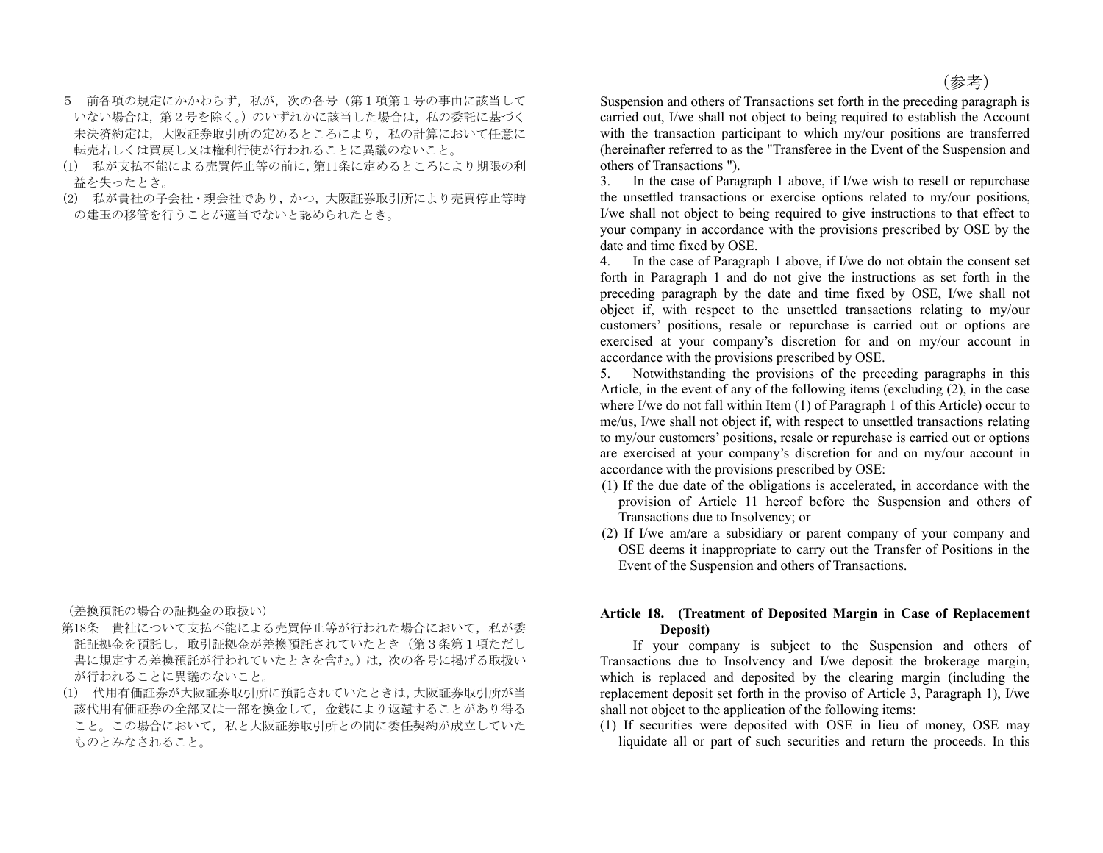- 5 前各項の規定にかかわらず、私が、次の各号(第1項第1号の事由に該当して いない場合は、第2号を除く。)のいずれかに該当した場合は、私の委託に基づく 未決済約定は,大阪証券取引所の定めるところにより,私の計算において任意に 転売若しくは買戻し又は権利行使が行われることに異議のないこと。
- (1) 私が支払不能による売買停止等の前に,第11条に定めるところにより期限の利 益を失ったとき。
- (2) 私が貴社の子会社・親会社であり,かつ,大阪証券取引所により売買停止等時 の建玉の移管を行うことが適当でないと認められたとき。

(差換預託の場合の証拠金の取扱い)

- 第18条 貴社について支払不能による売買停止等が行われた場合において、私が委 託証拠金を預託し,取引証拠金が差換預託されていたとき(第3条第1項ただし 書に規定する差換預託が行われていたときを含む。)は,次の各号に掲げる取扱い が行われることに異議のないこと。
- (1) 代用有価証券が大阪証券取引所に預託されていたときは,大阪証券取引所が当 該代用有価証券の全部又は一部を換金して,金銭により返還することがあり得る こと。この場合において、私と大阪証券取引所との間に委任契約が成立していた ものとみなされること。

Suspension and others of Transactions set forth in the preceding paragraph is carried out, I/we shall not object to being required to establish the Account with the transaction participant to which my/our positions are transferred (hereinafter referred to as the "Transferee in the Event of the Suspension and others of Transactions ").

3. In the case of Paragraph 1 above, if I/we wish to resell or repurchase the unsettled transactions or exercise options related to my/our positions, I/we shall not object to being required to give instructions to that effect to your company in accordance with the provisions prescribed by OSE by the date and time fixed by OSE.

4. In the case of Paragraph 1 above, if I/we do not obtain the consent set forth in Paragraph 1 and do not give the instructions as set forth in the preceding paragraph by the date and time fixed by OSE, I/we shall not object if, with respect to the unsettled transactions relating to my/our customers' positions, resale or repurchase is carried out or options are exercised at your company's discretion for and on my/our account in accordance with the provisions prescribed by OSE.

5. Notwithstanding the provisions of the preceding paragraphs in this Article, in the event of any of the following items (excluding (2), in the case where I/we do not fall within Item (1) of Paragraph 1 of this Article) occur to me/us, I/we shall not object if, with respect to unsettled transactions relating to my/our customers' positions, resale or repurchase is carried out or options are exercised at your company's discretion for and on my/our account in accordance with the provisions prescribed by OSE:

- (1) If the due date of the obligations is accelerated, in accordance with the provision of Article 11 hereof before the Suspension and others of Transactions due to Insolvency; or
- (2) If I/we am/are a subsidiary or parent company of your company and OSE deems it inappropriate to carry out the Transfer of Positions in the Event of the Suspension and others of Transactions.

## **Article 18. (Treatment of Deposited Margin in Case of Replacement Deposit)**

 If your company is subject to the Suspension and others of Transactions due to Insolvency and I/we deposit the brokerage margin, which is replaced and deposited by the clearing margin (including the replacement deposit set forth in the proviso of Article 3, Paragraph 1), I/we shall not object to the application of the following items:

(1) If securities were deposited with OSE in lieu of money, OSE may liquidate all or part of such securities and return the proceeds. In this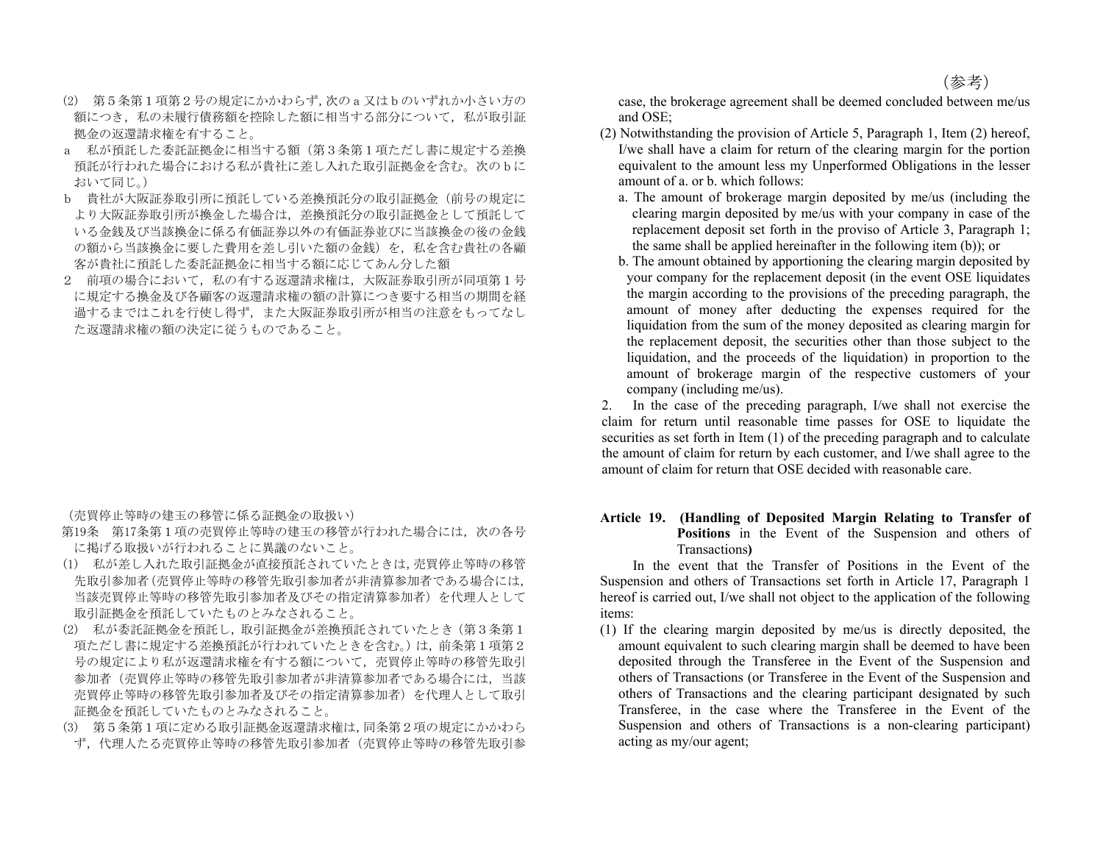- (2) 第5条第1項第2号の規定にかかわらず,次のa又はbのいずれか小さい方の 額につき,私の未履行債務額を控除した額に相当する部分について,私が取引証 拠金の返還請求権を有すること。
- a 私が預託した委託証拠金に相当する額(第3条第1項ただし書に規定する差換 預託が行われた場合における私が貴社に差し入れた取引証拠金を含む。次のbに おいて同じ。)
- b 貴社が大阪証券取引所に預託している差換預託分の取引証拠金(前号の規定に より大阪証券取引所が換金した場合は,差換預託分の取引証拠金として預託して いる金銭及び当該換金に係る有価証券以外の有価証券並びに当該換金の後の金銭 の額から当該換金に要した費用を差し引いた額の金銭)を,私を含む貴社の各顧 客が貴社に預託した委託証拠金に相当する額に応じてあん分した額
- 2 前項の場合において、私の有する返還請求権は、大阪証券取引所が同項第1号 に規定する換金及び各顧客の返還請求権の額の計算につき要する相当の期間を経 過するまではこれを行使し得ず,また大阪証券取引所が相当の注意をもってなし た返還請求権の額の決定に従うものであること。

(売買停止等時の建玉の移管に係る証拠金の取扱い)

- 第19条 第17条第1項の売買停止等時の建玉の移管が行われた場合には,次の各号 に掲げる取扱いが行われることに異議のないこと。
- (1) 私が差し入れた取引証拠金が直接預託されていたときは,売買停止等時の移管 先取引参加者(売買停止等時の移管先取引参加者が非清算参加者である場合には, 当該売買停止等時の移管先取引参加者及びその指定清算参加者)を代理人として 取引証拠金を預託していたものとみなされること。
- (2) 私が委託証拠金を預託し,取引証拠金が差換預託されていたとき(第3条第1 項ただし書に規定する差換預託が行われていたときを含む。)は,前条第1項第2 号の規定により私が返還請求権を有する額について,売買停止等時の移管先取引 参加者(売買停止等時の移管先取引参加者が非清算参加者である場合には,当該 売買停止等時の移管先取引参加者及びその指定清算参加者)を代理人として取引 証拠金を預託していたものとみなされること。
- (3) 第5条第1項に定める取引証拠金返還請求権は,同条第2項の規定にかかわら ず,代理人たる売買停止等時の移管先取引参加者(売買停止等時の移管先取引参

case, the brokerage agreement shall be deemed concluded between me/us and OSE;

- (2) Notwithstanding the provision of Article 5, Paragraph 1, Item (2) hereof, I/we shall have a claim for return of the clearing margin for the portion equivalent to the amount less my Unperformed Obligations in the lesser amount of a. or b. which follows:
	- a. The amount of brokerage margin deposited by me/us (including the clearing margin deposited by me/us with your company in case of the replacement deposit set forth in the proviso of Article 3, Paragraph 1; the same shall be applied hereinafter in the following item (b)); or
	- b. The amount obtained by apportioning the clearing margin deposited by your company for the replacement deposit (in the event OSE liquidates the margin according to the provisions of the preceding paragraph, the amount of money after deducting the expenses required for the liquidation from the sum of the money deposited as clearing margin for the replacement deposit, the securities other than those subject to the liquidation, and the proceeds of the liquidation) in proportion to the amount of brokerage margin of the respective customers of your company (including me/us).

2. In the case of the preceding paragraph, I/we shall not exercise the claim for return until reasonable time passes for OSE to liquidate the securities as set forth in Item (1) of the preceding paragraph and to calculate the amount of claim for return by each customer, and I/we shall agree to the amount of claim for return that OSE decided with reasonable care.

## **Article 19. (Handling of Deposited Margin Relating to Transfer of Positions** in the Event of the Suspension and others of Transactions**)**

 In the event that the Transfer of Positions in the Event of the Suspension and others of Transactions set forth in Article 17, Paragraph 1 hereof is carried out, I/we shall not object to the application of the following items:

(1) If the clearing margin deposited by me/us is directly deposited, the amount equivalent to such clearing margin shall be deemed to have been deposited through the Transferee in the Event of the Suspension and others of Transactions (or Transferee in the Event of the Suspension and others of Transactions and the clearing participant designated by such Transferee, in the case where the Transferee in the Event of the Suspension and others of Transactions is a non-clearing participant) acting as my/our agent;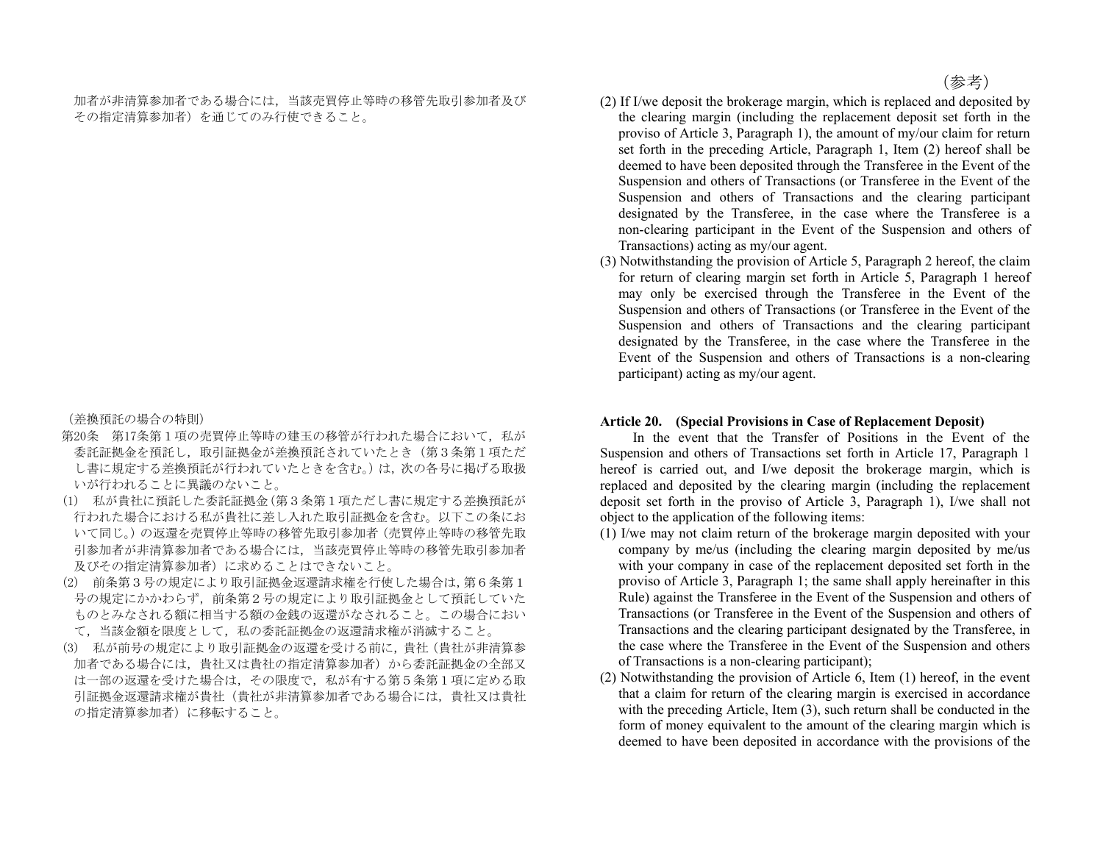加者が非清算参加者である場合には,当該売買停止等時の移管先取引参加者及び その指定清算参加者)を通じてのみ行使できること。

(差換預託の場合の特則)

- 第20条 第17条第1項の売買停止等時の建玉の移管が行われた場合において、私が 委託証拠金を預託し,取引証拠金が差換預託されていたとき(第3条第1項ただ し書に規定する差換預託が行われていたときを含む。)は,次の各号に掲げる取扱 いが行われることに異議のないこと。
- (1) 私が貴社に預託した委託証拠金(第3条第1項ただし書に規定する差換預託が 行われた場合における私が貴社に差し入れた取引証拠金を含む。以下この条にお いて同じ。)の返還を売買停止等時の移管先取引参加者(売買停止等時の移管先取 引参加者が非清算参加者である場合には,当該売買停止等時の移管先取引参加者 及びその指定清算参加者)に求めることはできないこと。
- (2) 前条第3号の規定により取引証拠金返還請求権を行使した場合は,第6条第1 号の規定にかかわらず、前条第2号の規定により取引証拠金として預託していた ものとみなされる額に相当する額の金銭の返還がなされること。この場合におい て,当該金額を限度として,私の委託証拠金の返還請求権が消滅すること。
- (3) 私が前号の規定により取引証拠金の返還を受ける前に,貴社(貴社が非清算参 加者である場合には,貴社又は貴社の指定清算参加者)から委託証拠金の全部又 は一部の返還を受けた場合は,その限度で,私が有する第5条第1項に定める取 引証拠金返還請求権が貴社(貴社が非清算参加者である場合には,貴社又は貴社 の指定清算参加者)に移転すること。
- (2) If I/we deposit the brokerage margin, which is replaced and deposited by the clearing margin (including the replacement deposit set forth in the proviso of Article 3, Paragraph 1), the amount of my/our claim for return set forth in the preceding Article, Paragraph 1, Item (2) hereof shall be deemed to have been deposited through the Transferee in the Event of the Suspension and others of Transactions (or Transferee in the Event of the Suspension and others of Transactions and the clearing participant designated by the Transferee, in the case where the Transferee is a non-clearing participant in the Event of the Suspension and others of Transactions) acting as my/our agent.
- (3) Notwithstanding the provision of Article 5, Paragraph 2 hereof, the claim for return of clearing margin set forth in Article 5, Paragraph 1 hereof may only be exercised through the Transferee in the Event of the Suspension and others of Transactions (or Transferee in the Event of the Suspension and others of Transactions and the clearing participant designated by the Transferee, in the case where the Transferee in the Event of the Suspension and others of Transactions is a non-clearing participant) acting as my/our agent.

### **Article 20. (Special Provisions in Case of Replacement Deposit)**

 In the event that the Transfer of Positions in the Event of the Suspension and others of Transactions set forth in Article 17, Paragraph 1 hereof is carried out, and I/we deposit the brokerage margin, which is replaced and deposited by the clearing margin (including the replacement deposit set forth in the proviso of Article 3, Paragraph 1), I/we shall not object to the application of the following items:

- (1) I/we may not claim return of the brokerage margin deposited with your company by me/us (including the clearing margin deposited by me/us with your company in case of the replacement deposited set forth in the proviso of Article 3, Paragraph 1; the same shall apply hereinafter in this Rule) against the Transferee in the Event of the Suspension and others of Transactions (or Transferee in the Event of the Suspension and others of Transactions and the clearing participant designated by the Transferee, in the case where the Transferee in the Event of the Suspension and others of Transactions is a non-clearing participant);
- (2) Notwithstanding the provision of Article 6, Item (1) hereof, in the event that a claim for return of the clearing margin is exercised in accordance with the preceding Article, Item (3), such return shall be conducted in the form of money equivalent to the amount of the clearing margin which is deemed to have been deposited in accordance with the provisions of the

(参考)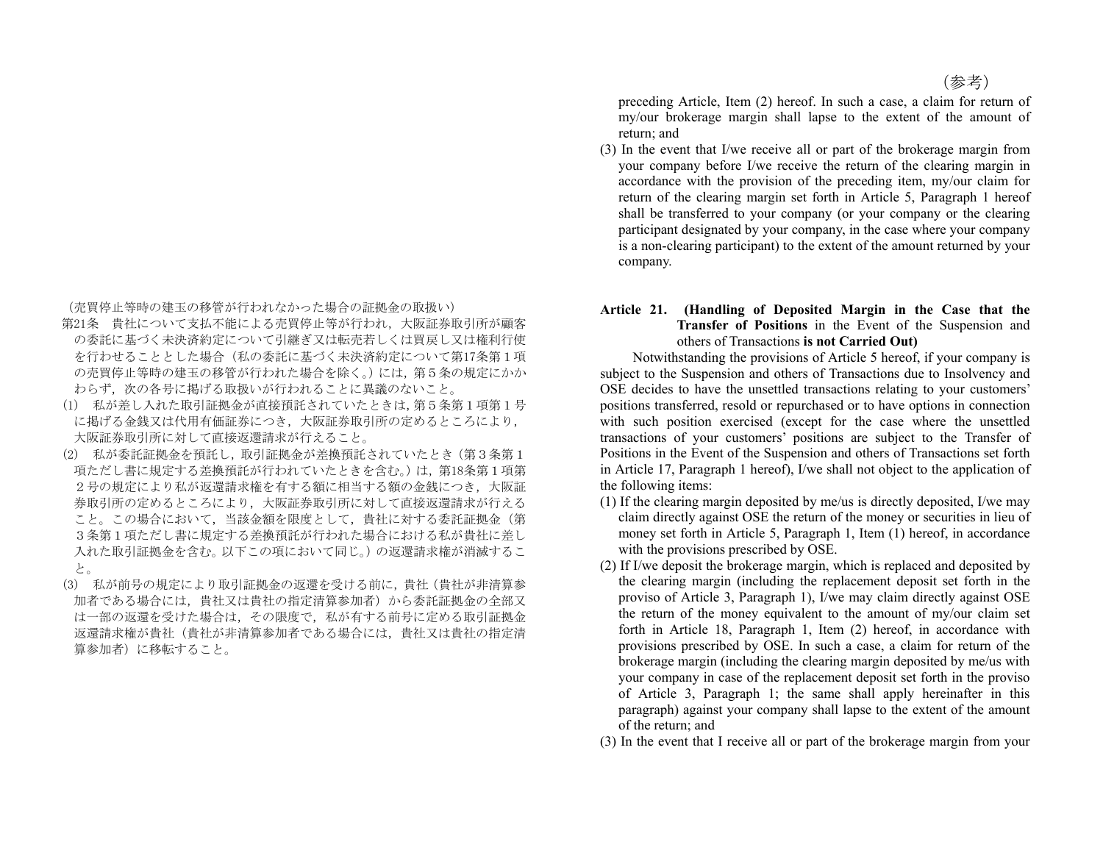(売買停止等時の建玉の移管が行われなかった場合の証拠金の取扱い)

- 第21条 貴社について支払不能による売買停止等が行われ,大阪証券取引所が顧客 の委託に基づく未決済約定について引継ぎ又は転売若しくは買戻し又は権利行使 を行わせることとした場合(私の委託に基づく未決済約定について第17条第1項 の売買停止等時の建玉の移管が行われた場合を除く。)には、第5条の規定にかか わらず、次の各号に掲げる取扱いが行われることに異議のないこと。
- (1) 私が差し入れた取引証拠金が直接預託されていたときは,第5条第1項第1号 に掲げる金銭又は代用有価証券につき,大阪証券取引所の定めるところにより, 大阪証券取引所に対して直接返還請求が行えること。
- (2) 私が委託証拠金を預託し,取引証拠金が差換預託されていたとき(第3条第1 項ただし書に規定する差換預託が行われていたときを含む。)は,第18条第1項第 2号の規定により私が返還請求権を有する額に相当する額の金銭につき,大阪証 券取引所の定めるところにより,大阪証券取引所に対して直接返還請求が行える こと。この場合において,当該金額を限度として,貴社に対する委託証拠金(第 3条第1項ただし書に規定する差換預託が行われた場合における私が貴社に差し 入れた取引証拠金を含む。以下この項において同じ。)の返還請求権が消滅するこ と。
- (3) 私が前号の規定により取引証拠金の返還を受ける前に,貴社(貴社が非清算参 加者である場合には,貴社又は貴社の指定清算参加者)から委託証拠金の全部又 は一部の返還を受けた場合は,その限度で,私が有する前号に定める取引証拠金 返還請求権が貴社(貴社が非清算参加者である場合には,貴社又は貴社の指定清 算参加者)に移転すること。

preceding Article, Item (2) hereof. In such a case, a claim for return of my/our brokerage margin shall lapse to the extent of the amount of return; and

(3) In the event that I/we receive all or part of the brokerage margin from your company before I/we receive the return of the clearing margin in accordance with the provision of the preceding item, my/our claim for return of the clearing margin set forth in Article 5, Paragraph 1 hereof shall be transferred to your company (or your company or the clearing participant designated by your company, in the case where your company is a non-clearing participant) to the extent of the amount returned by your company.

## **Article 21. (Handling of Deposited Margin in the Case that the Transfer of Positions** in the Event of the Suspension and others of Transactions **is not Carried Out)**

 Notwithstanding the provisions of Article 5 hereof, if your company is subject to the Suspension and others of Transactions due to Insolvency and OSE decides to have the unsettled transactions relating to your customers' positions transferred, resold or repurchased or to have options in connection with such position exercised (except for the case where the unsettled transactions of your customers' positions are subject to the Transfer of Positions in the Event of the Suspension and others of Transactions set forth in Article 17, Paragraph 1 hereof), I/we shall not object to the application of the following items:

- (1) If the clearing margin deposited by me/us is directly deposited, I/we may claim directly against OSE the return of the money or securities in lieu of money set forth in Article 5, Paragraph 1, Item (1) hereof, in accordance with the provisions prescribed by OSE.
- (2) If I/we deposit the brokerage margin, which is replaced and deposited by the clearing margin (including the replacement deposit set forth in the proviso of Article 3, Paragraph 1), I/we may claim directly against OSE the return of the money equivalent to the amount of my/our claim set forth in Article 18, Paragraph 1, Item (2) hereof, in accordance with provisions prescribed by OSE. In such a case, a claim for return of the brokerage margin (including the clearing margin deposited by me/us with your company in case of the replacement deposit set forth in the proviso of Article 3, Paragraph 1; the same shall apply hereinafter in this paragraph) against your company shall lapse to the extent of the amount of the return; and
- (3) In the event that I receive all or part of the brokerage margin from your

(参考)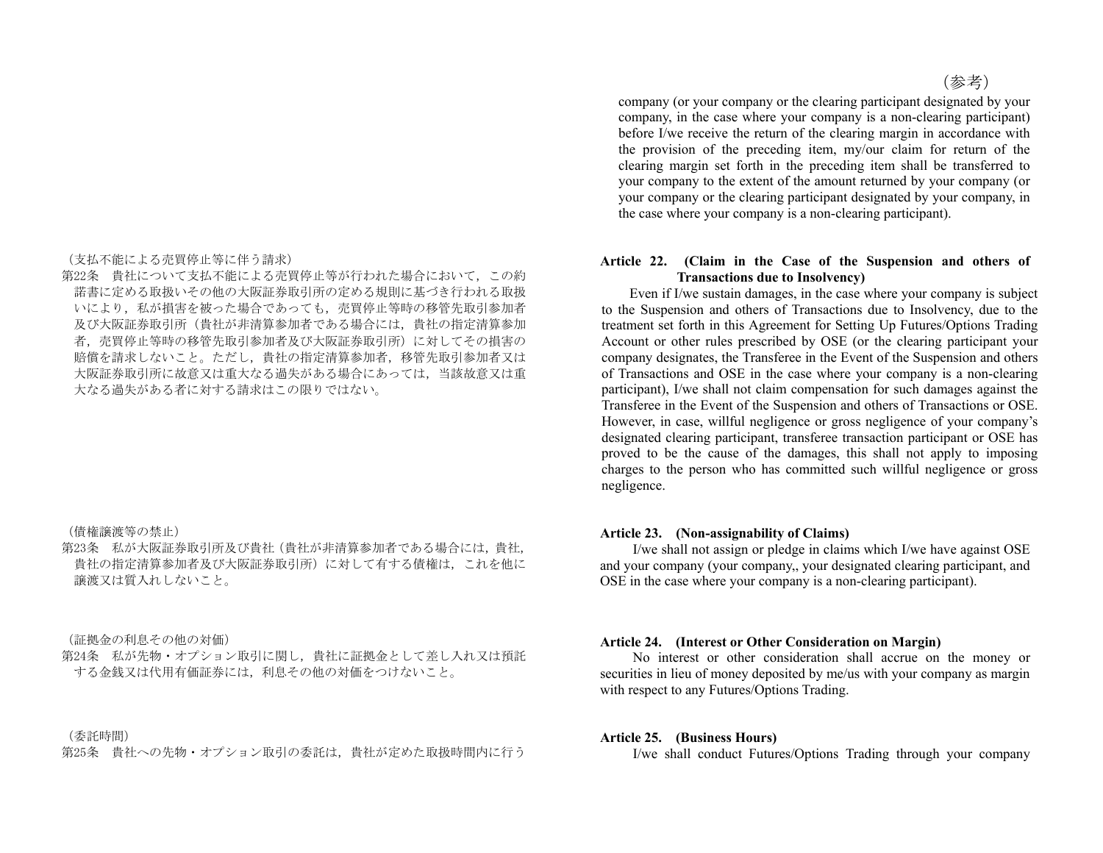(支払不能による売買停止等に伴う請求)

第22条 貴社について支払不能による売買停止等が行われた場合において,この約 諾書に定める取扱いその他の大阪証券取引所の定める規則に基づき行われる取扱 いにより,私が損害を被った場合であっても,売買停止等時の移管先取引参加者 及び大阪証券取引所(貴社が非清算参加者である場合には,貴社の指定清算参加 者,売買停止等時の移管先取引参加者及び大阪証券取引所)に対してその損害の 賠償を請求しないこと。ただし,貴社の指定清算参加者,移管先取引参加者又は 大阪証券取引所に故意又は重大なる過失がある場合にあっては,当該故意又は重 大なる過失がある者に対する請求はこの限りではない。

(債権譲渡等の禁止)

第23条 私が大阪証券取引所及び貴社(貴社が非清算参加者である場合には,貴社, 貴社の指定清算参加者及び大阪証券取引所)に対して有する債権は,これを他に 譲渡又は質入れしないこと。

(証拠金の利息その他の対価)

第24条 私が先物・オプション取引に関し,貴社に証拠金として差し入れ又は預託 する金銭又は代用有価証券には,利息その他の対価をつけないこと。

(委託時間)

第25条 貴社への先物・オプション取引の委託は,貴社が定めた取扱時間内に行う

(参考)

company (or your company or the clearing participant designated by your company, in the case where your company is a non-clearing participant) before I/we receive the return of the clearing margin in accordance with the provision of the preceding item, my/our claim for return of the clearing margin set forth in the preceding item shall be transferred to your company to the extent of the amount returned by your company (or your company or the clearing participant designated by your company, in the case where your company is a non-clearing participant).

## **Article 22. (Claim in the Case of the Suspension and others of Transactions due to Insolvency)**

 Even if I/we sustain damages, in the case where your company is subject to the Suspension and others of Transactions due to Insolvency, due to the treatment set forth in this Agreement for Setting Up Futures/Options Trading Account or other rules prescribed by OSE (or the clearing participant your company designates, the Transferee in the Event of the Suspension and others of Transactions and OSE in the case where your company is a non-clearing participant), I/we shall not claim compensation for such damages against the Transferee in the Event of the Suspension and others of Transactions or OSE. However, in case, willful negligence or gross negligence of your company's designated clearing participant, transferee transaction participant or OSE has proved to be the cause of the damages, this shall not apply to imposing charges to the person who has committed such willful negligence or gross negligence.

#### **Article 23. (Non-assignability of Claims)**

 I/we shall not assign or pledge in claims which I/we have against OSE and your company (your company,, your designated clearing participant, and OSE in the case where your company is a non-clearing participant).

#### **Article 24. (Interest or Other Consideration on Margin)**

 No interest or other consideration shall accrue on the money or securities in lieu of money deposited by me/us with your company as margin with respect to any Futures/Options Trading.

#### **Article 25. (Business Hours)**

I/we shall conduct Futures/Options Trading through your company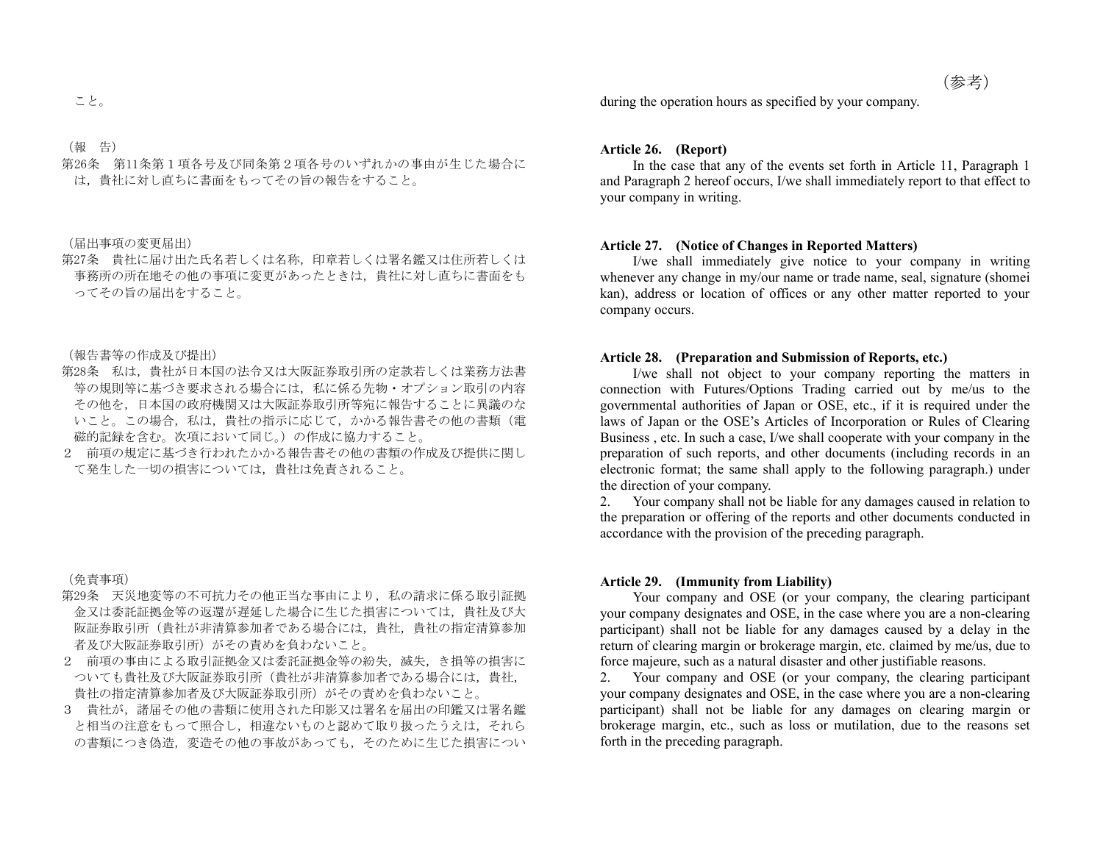(報 告)

第26条 第11条第1項各号及び同条第2項各号のいずれかの事由が生じた場合に は,貴社に対し直ちに書面をもってその旨の報告をすること。

(届出事項の変更届出)

第27条 貴社に届け出た氏名若しくは名称,印章若しくは署名鑑又は住所若しくは 事務所の所在地その他の事項に変更があったときは,貴社に対し直ちに書面をも ってその旨の届出をすること。

(報告書等の作成及び提出)

- 第28条 私は,貴社が日本国の法令又は大阪証券取引所の定款若しくは業務方法書 等の規則等に基づき要求される場合には,私に係る先物・オプション取引の内容 その他を,日本国の政府機関又は大阪証券取引所等宛に報告することに異議のな いこと。この場合,私は,貴社の指示に応じて,かかる報告書その他の書類(電 磁的記録を含む。次項において同じ。)の作成に協力すること。
- 2 前項の規定に基づき行われたかかる報告書その他の書類の作成及び提供に関し て発生した一切の損害については,貴社は免責されること。

(免責事項)

- 第29条 天災地変等の不可抗力その他正当な事由により、私の請求に係る取引証拠 金又は委託証拠金等の返還が遅延した場合に生じた損害については,貴社及び大 阪証券取引所(貴社が非清算参加者である場合には,貴社,貴社の指定清算参加 者及び大阪証券取引所)がその責めを負わないこと。
- 2 前項の事由による取引証拠金又は委託証拠金等の紛失,滅失,き損等の損害に ついても貴社及び大阪証券取引所(貴社が非清算参加者である場合には,貴社, 貴社の指定清算参加者及び大阪証券取引所)がその責めを負わないこと。
- 3 貴社が,諸届その他の書類に使用された印影又は署名を届出の印鑑又は署名鑑 と相当の注意をもって照合し,相違ないものと認めて取り扱ったうえは,それら の書類につき偽造、変造その他の事故があっても、そのために生じた損害につい

 $\leq \xi$   $\geq$ 

#### **Article 26. (Report)**

 In the case that any of the events set forth in Article 11, Paragraph 1 and Paragraph 2 hereof occurs, I/we shall immediately report to that effect to your company in writing.

## **Article 27. (Notice of Changes in Reported Matters)**

 I/we shall immediately give notice to your company in writing whenever any change in my/our name or trade name, seal, signature (shomei kan), address or location of offices or any other matter reported to your company occurs.

## **Article 28. (Preparation and Submission of Reports, etc.)**

 I/we shall not object to your company reporting the matters in connection with Futures/Options Trading carried out by me/us to the governmental authorities of Japan or OSE, etc., if it is required under the laws of Japan or the OSE's Articles of Incorporation or Rules of Clearing Business , etc. In such a case, I/we shall cooperate with your company in the preparation of such reports, and other documents (including records in an electronic format; the same shall apply to the following paragraph.) under the direction of your company.

2. Your company shall not be liable for any damages caused in relation to the preparation or offering of the reports and other documents conducted in accordance with the provision of the preceding paragraph.

### **Article 29. (Immunity from Liability)**

 Your company and OSE (or your company, the clearing participant your company designates and OSE, in the case where you are a non-clearing participant) shall not be liable for any damages caused by a delay in the return of clearing margin or brokerage margin, etc. claimed by me/us, due to force majeure, such as a natural disaster and other justifiable reasons.

2. Your company and OSE (or your company, the clearing participant your company designates and OSE, in the case where you are a non-clearing participant) shall not be liable for any damages on clearing margin or brokerage margin, etc., such as loss or mutilation, due to the reasons set forth in the preceding paragraph.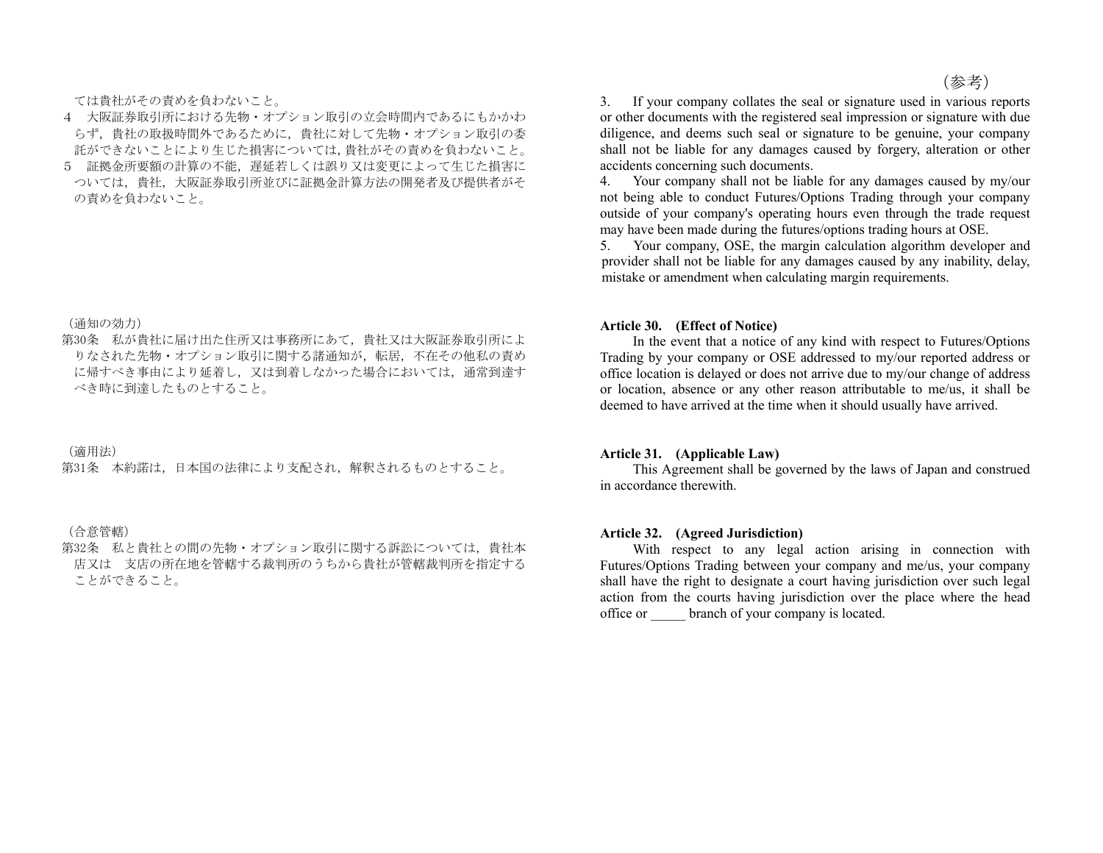ては貴社がその責めを負わないこと。

- 4 大阪証券取引所における先物・オプション取引の立会時間内であるにもかかわ らず,貴社の取扱時間外であるために,貴社に対して先物・オプション取引の委 託ができないことにより生じた損害については,貴社がその責めを負わないこと。
- 5 証拠金所要額の計算の不能,遅延若しくは誤り又は変更によって生じた損害に ついては,貴社,大阪証券取引所並びに証拠金計算方法の開発者及び提供者がそ の責めを負わないこと。

(通知の効力)

第30条 私が貴社に届け出た住所又は事務所にあて,貴社又は大阪証券取引所によ りなされた先物・オプション取引に関する諸通知が,転居,不在その他私の責め に帰すべき事由により延着し,又は到着しなかった場合においては,通常到達す べき時に到達したものとすること。

(適用法)

第31条 本約諾は,日本国の法律により支配され,解釈されるものとすること。

(合意管轄)

第32条 私と貴社との間の先物・オプション取引に関する訴訟については,貴社本 店又は 支店の所在地を管轄する裁判所のうちから貴社が管轄裁判所を指定する ことができること。

(参考)

3. If your company collates the seal or signature used in various reports or other documents with the registered seal impression or signature with due diligence, and deems such seal or signature to be genuine, your company shall not be liable for any damages caused by forgery, alteration or other accidents concerning such documents.

4. Your company shall not be liable for any damages caused by my/our not being able to conduct Futures/Options Trading through your company outside of your company's operating hours even through the trade request may have been made during the futures/options trading hours at OSE.

5. Your company, OSE, the margin calculation algorithm developer and provider shall not be liable for any damages caused by any inability, delay, mistake or amendment when calculating margin requirements.

#### **Article 30. (Effect of Notice)**

 In the event that a notice of any kind with respect to Futures/Options Trading by your company or OSE addressed to my/our reported address or office location is delayed or does not arrive due to my/our change of address or location, absence or any other reason attributable to me/us, it shall be deemed to have arrived at the time when it should usually have arrived.

#### **Article 31. (Applicable Law)**

 This Agreement shall be governed by the laws of Japan and construed in accordance therewith.

#### **Article 32. (Agreed Jurisdiction)**

With respect to any legal action arising in connection with Futures/Options Trading between your company and me/us, your company shall have the right to designate a court having jurisdiction over such legal action from the courts having jurisdiction over the place where the head office or \_\_\_\_\_ branch of your company is located.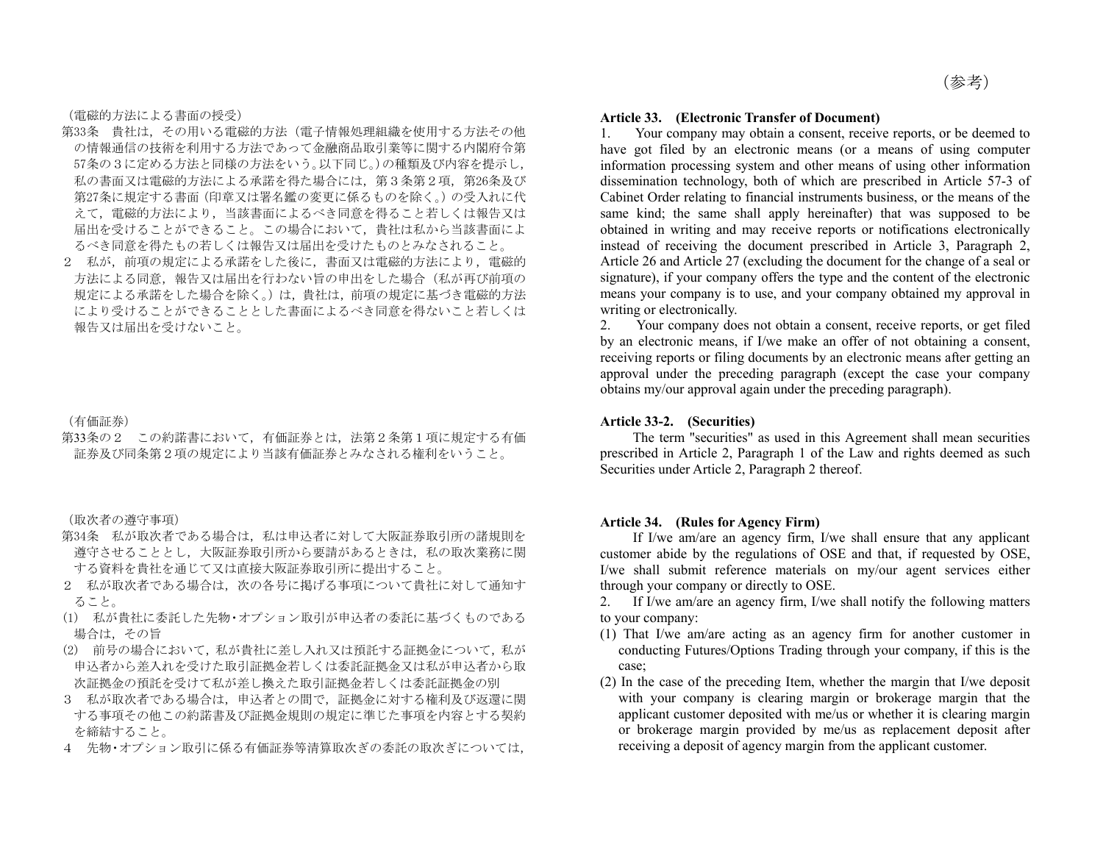(電磁的方法による書面の授受)

- 第33条 貴社は,その用いる電磁的方法(電子情報処理組織を使用する方法その他 の情報通信の技術を利用する方法であって金融商品取引業等に関する内閣府令第 57条の3に定める方法と同様の方法をいう。以下同じ。)の種類及び内容を提示し, 私の書面又は電磁的方法による承諾を得た場合には,第3条第2項,第26条及び 第27条に規定する書面(印章又は署名鑑の変更に係るものを除く。)の受入れに代 えて,電磁的方法により,当該書面によるべき同意を得ること若しくは報告又は 届出を受けることができること。この場合において,貴社は私から当該書面によ るべき同意を得たもの若しくは報告又は届出を受けたものとみなされること。
- 2 私が,前項の規定による承諾をした後に,書面又は電磁的方法により,電磁的 方法による同意,報告又は届出を行わない旨の申出をした場合(私が再び前項の 規定による承諾をした場合を除く。)は,貴社は,前項の規定に基づき電磁的方法 により受けることができることとした書面によるべき同意を得ないこと若しくは 報告又は届出を受けないこと。

(有価証券)

第33条の2 この約諾書において,有価証券とは,法第2条第1項に規定する有価 証券及び同条第2項の規定により当該有価証券とみなされる権利をいうこと。

(取次者の遵守事項)

- 第34条 私が取次者である場合は、私は申込者に対して大阪証券取引所の諸規則を 遵守させることとし,大阪証券取引所から要請があるときは,私の取次業務に関 する資料を貴社を通じて又は直接大阪証券取引所に提出すること。
- 2 私が取次者である場合は、次の各号に掲げる事項について貴社に対して通知す ること。
- (1) 私が貴社に委託した先物・オプション取引が申込者の委託に基づくものである 場合は,その旨
- (2) 前号の場合において,私が貴社に差し入れ又は預託する証拠金について,私が 申込者から差入れを受けた取引証拠金若しくは委託証拠金又は私が申込者から取 次証拠金の預託を受けて私が差し換えた取引証拠金若しくは委託証拠金の別
- 3 私が取次者である場合は,申込者との間で,証拠金に対する権利及び返還に関 する事項その他この約諾書及び証拠金規則の規定に準じた事項を内容とする契約 を締結すること。
- 4 先物・オプション取引に係る有価証券等清算取次ぎの委託の取次ぎについては,

#### **Article 33. (Electronic Transfer of Document)**

1. Your company may obtain a consent, receive reports, or be deemed to have got filed by an electronic means (or a means of using computer information processing system and other means of using other information dissemination technology, both of which are prescribed in Article 57-3 of Cabinet Order relating to financial instruments business, or the means of the same kind; the same shall apply hereinafter) that was supposed to be obtained in writing and may receive reports or notifications electronically instead of receiving the document prescribed in Article 3, Paragraph 2, Article 26 and Article 27 (excluding the document for the change of a seal or signature), if your company offers the type and the content of the electronic means your company is to use, and your company obtained my approval in writing or electronically.

2. Your company does not obtain a consent, receive reports, or get filed by an electronic means, if I/we make an offer of not obtaining a consent, receiving reports or filing documents by an electronic means after getting an approval under the preceding paragraph (except the case your company obtains my/our approval again under the preceding paragraph).

### **Article 33-2. (Securities)**

The term "securities" as used in this Agreement shall mean securities prescribed in Article 2, Paragraph 1 of the Law and rights deemed as such Securities under Article 2, Paragraph 2 thereof.

### **Article 34. (Rules for Agency Firm)**

 If I/we am/are an agency firm, I/we shall ensure that any applicant customer abide by the regulations of OSE and that, if requested by OSE, I/we shall submit reference materials on my/our agent services either through your company or directly to OSE.

2. If I/we am/are an agency firm, I/we shall notify the following matters to your company:

- (1) That I/we am/are acting as an agency firm for another customer in conducting Futures/Options Trading through your company, if this is the case;
- (2) In the case of the preceding Item, whether the margin that I/we deposit with your company is clearing margin or brokerage margin that the applicant customer deposited with me/us or whether it is clearing margin or brokerage margin provided by me/us as replacement deposit after receiving a deposit of agency margin from the applicant customer.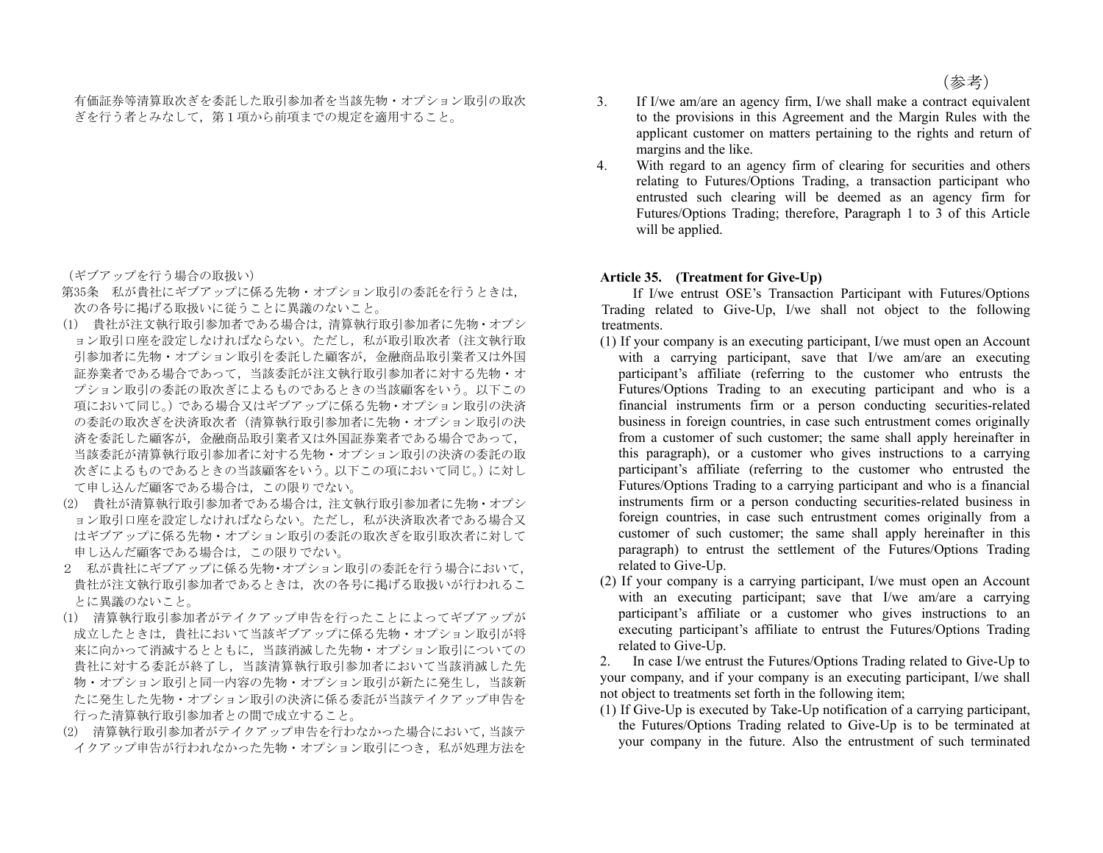有価証券等清算取次ぎを委託した取引参加者を当該先物・オプション取引の取次 ぎを行う者とみなして,第1項から前項までの規定を適用すること。

(ギブアップを行う場合の取扱い)

- 第35条 私が貴社にギブアップに係る先物・オプション取引の委託を行うときは, 次の各号に掲げる取扱いに従うことに異議のないこと。
- (1) 貴社が注文執行取引参加者である場合は,清算執行取引参加者に先物・オプシ ョン取引口座を設定しなければならない。ただし,私が取引取次者(注文執行取 引参加者に先物・オプション取引を委託した顧客が,金融商品取引業者又は外国 証券業者である場合であって,当該委託が注文執行取引参加者に対する先物・オ プション取引の委託の取次ぎによるものであるときの当該顧客をいう。以下この 項において同じ。)である場合又はギブアップに係る先物・オプション取引の決済 の委託の取次ぎを決済取次者(清算執行取引参加者に先物・オプション取引の決 済を委託した顧客が,金融商品取引業者又は外国証券業者である場合であって, 当該委託が清算執行取引参加者に対する先物・オプション取引の決済の委託の取 次ぎによるものであるときの当該顧客をいう。以下この項において同じ。)に対し て申し込んだ顧客である場合は,この限りでない。
- (2) 貴社が清算執行取引参加者である場合は,注文執行取引参加者に先物・オプシ ョン取引口座を設定しなければならない。ただし、私が決済取次者である場合又 はギブアップに係る先物・オプション取引の委託の取次ぎを取引取次者に対して 申し込んだ顧客である場合は,この限りでない。
- 2 私が貴社にギブアップに係る先物・オプション取引の委託を行う場合において, 貴社が注文執行取引参加者であるときは、次の各号に掲げる取扱いが行われるこ とに異議のないこと。
- (1) 清算執行取引参加者がテイクアップ申告を行ったことによってギブアップが 成立したときは,貴社において当該ギブアップに係る先物・オプション取引が将 来に向かって消滅するとともに,当該消滅した先物・オプション取引についての 貴社に対する委託が終了し,当該清算執行取引参加者において当該消滅した先 物・オプション取引と同一内容の先物・オプション取引が新たに発生し,当該新 たに発生した先物・オプション取引の決済に係る委託が当該テイクアップ申告を 行った清算執行取引参加者との間で成立すること。
- (2) 清算執行取引参加者がテイクアップ申告を行わなかった場合において,当該テ イクアップ申告が行われなかった先物・オプション取引につき,私が処理方法を
- 3. If I/we am/are an agency firm, I/we shall make a contract equivalent to the provisions in this Agreement and the Margin Rules with the applicant customer on matters pertaining to the rights and return of margins and the like.
- 4. With regard to an agency firm of clearing for securities and others relating to Futures/Options Trading, a transaction participant who entrusted such clearing will be deemed as an agency firm for Futures/Options Trading; therefore, Paragraph 1 to 3 of this Article will be applied.

### **Article 35. (Treatment for Give-Up)**

 If I/we entrust OSE's Transaction Participant with Futures/Options Trading related to Give-Up, I/we shall not object to the following treatments.

- (1) If your company is an executing participant, I/we must open an Account with a carrying participant, save that I/we am/are an executing participant's affiliate (referring to the customer who entrusts the Futures/Options Trading to an executing participant and who is a financial instruments firm or a person conducting securities-related business in foreign countries, in case such entrustment comes originally from a customer of such customer; the same shall apply hereinafter in this paragraph), or a customer who gives instructions to a carrying participant's affiliate (referring to the customer who entrusted the Futures/Options Trading to a carrying participant and who is a financial instruments firm or a person conducting securities-related business in foreign countries, in case such entrustment comes originally from a customer of such customer; the same shall apply hereinafter in this paragraph) to entrust the settlement of the Futures/Options Trading related to Give-Up.
- (2) If your company is a carrying participant, I/we must open an Account with an executing participant; save that I/we am/are a carrying participant's affiliate or a customer who gives instructions to an executing participant's affiliate to entrust the Futures/Options Trading related to Give-Up.

2. In case I/we entrust the Futures/Options Trading related to Give-Up to your company, and if your company is an executing participant, I/we shall not object to treatments set forth in the following item;

(1) If Give-Up is executed by Take-Up notification of a carrying participant, the Futures/Options Trading related to Give-Up is to be terminated at your company in the future. Also the entrustment of such terminated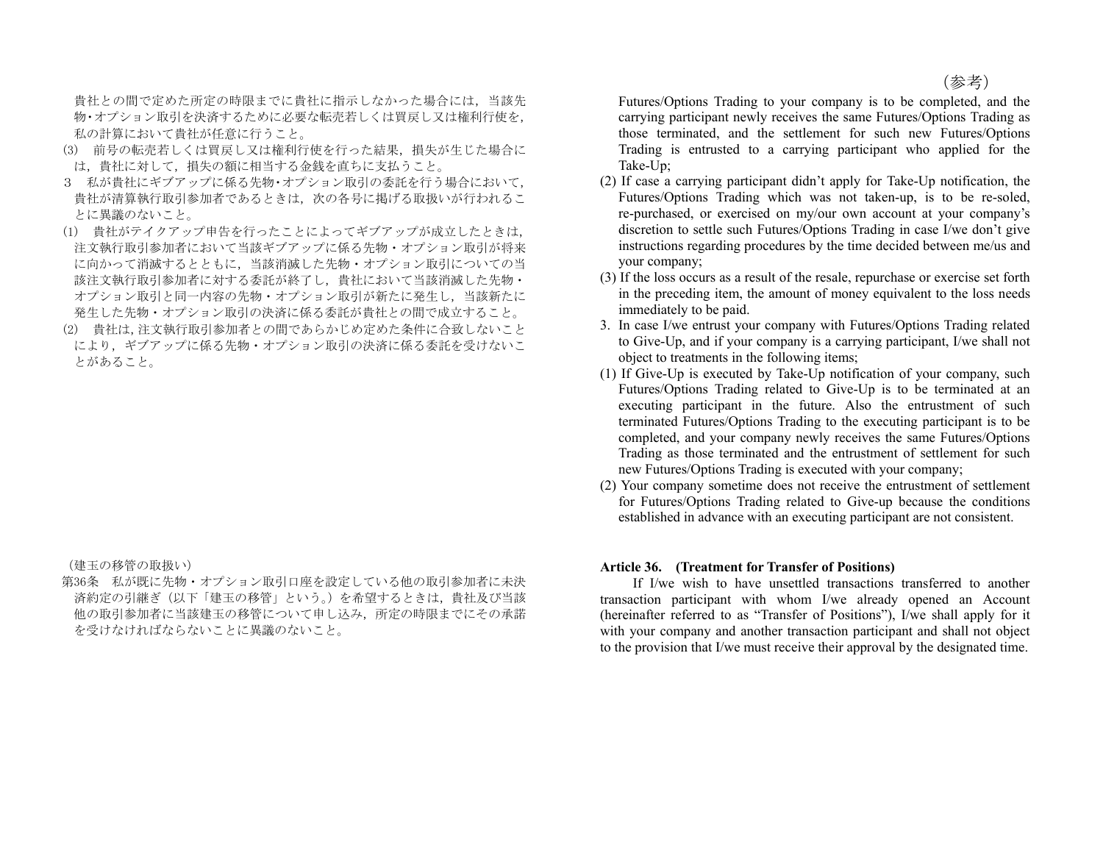(参考)

貴社との間で定めた所定の時限までに貴社に指示しなかった場合には,当該先 物・オプション取引を決済するために必要な転売若しくは買戻し又は権利行使を, 私の計算において貴社が任意に行うこと。

- (3) 前号の転売若しくは買戻し又は権利行使を行った結果,損失が生じた場合に は,貴社に対して,損失の額に相当する金銭を直ちに支払うこと。
- 3 私が貴社にギブアップに係る先物・オプション取引の委託を行う場合において, 貴社が清算執行取引参加者であるときは,次の各号に掲げる取扱いが行われるこ とに異議のないこと。
- (1) 貴社がテイクアップ申告を行ったことによってギブアップが成立したときは, 注文執行取引参加者において当該ギブアップに係る先物・オプション取引が将来 に向かって消滅するとともに,当該消滅した先物・オプション取引についての当 該注文執行取引参加者に対する委託が終了し,貴社において当該消滅した先物・ オプション取引と同一内容の先物・オプション取引が新たに発生し,当該新たに 発生した先物・オプション取引の決済に係る委託が貴社との間で成立すること。
- (2) 貴社は,注文執行取引参加者との間であらかじめ定めた条件に合致しないこと により,ギブアップに係る先物・オプション取引の決済に係る委託を受けないこ とがあること。

(建玉の移管の取扱い)

第36条 私が既に先物・オプション取引口座を設定している他の取引参加者に未決 済約定の引継ぎ(以下「建玉の移管」という。)を希望するときは,貴社及び当該 他の取引参加者に当該建玉の移管について申し込み,所定の時限までにその承諾 を受けなければならないことに異議のないこと。

Futures/Options Trading to your company is to be completed, and the carrying participant newly receives the same Futures/Options Trading as those terminated, and the settlement for such new Futures/Options Trading is entrusted to a carrying participant who applied for the Take-Up;

- (2) If case a carrying participant didn't apply for Take-Up notification, the Futures/Options Trading which was not taken-up, is to be re-soled, re-purchased, or exercised on my/our own account at your company's discretion to settle such Futures/Options Trading in case I/we don't give instructions regarding procedures by the time decided between me/us and your company;
- (3) If the loss occurs as a result of the resale, repurchase or exercise set forth in the preceding item, the amount of money equivalent to the loss needs immediately to be paid.
- 3. In case I/we entrust your company with Futures/Options Trading related to Give-Up, and if your company is a carrying participant, I/we shall not object to treatments in the following items;
- (1) If Give-Up is executed by Take-Up notification of your company, such Futures/Options Trading related to Give-Up is to be terminated at an executing participant in the future. Also the entrustment of such terminated Futures/Options Trading to the executing participant is to be completed, and your company newly receives the same Futures/Options Trading as those terminated and the entrustment of settlement for such new Futures/Options Trading is executed with your company;
- (2) Your company sometime does not receive the entrustment of settlement for Futures/Options Trading related to Give-up because the conditions established in advance with an executing participant are not consistent.

### **Article 36. (Treatment for Transfer of Positions)**

 If I/we wish to have unsettled transactions transferred to another transaction participant with whom I/we already opened an Account (hereinafter referred to as "Transfer of Positions"), I/we shall apply for it with your company and another transaction participant and shall not object to the provision that I/we must receive their approval by the designated time.